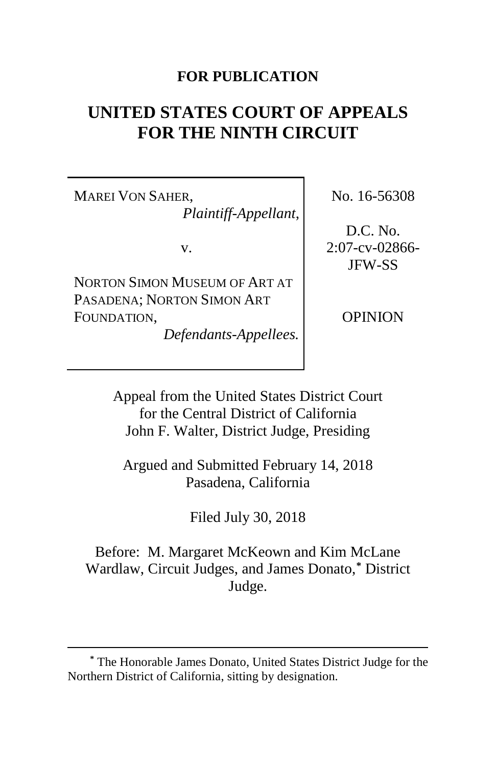## **FOR PUBLICATION**

# **UNITED STATES COURT OF APPEALS FOR THE NINTH CIRCUIT**

MAREI VON SAHER, *Plaintiff-Appellant*,

v.

NORTON SIMON MUSEUM OF ART AT PASADENA; NORTON SIMON ART FOUNDATION,

*Defendants-Appellees.*

No. 16-56308

D.C. No. 2:07-cv-02866- JFW-SS

OPINION

Appeal from the United States District Court for the Central District of California John F. Walter, District Judge, Presiding

Argued and Submitted February 14, 2018 Pasadena, California

Filed July 30, 2018

Before: M. Margaret McKeown and Kim McLane Wardlaw, Circuit Judges, and James Donato,**[\\*](#page-0-0)** District Judge.

<span id="page-0-0"></span>**<sup>\*</sup>** The Honorable James Donato, United States District Judge for the Northern District of California, sitting by designation.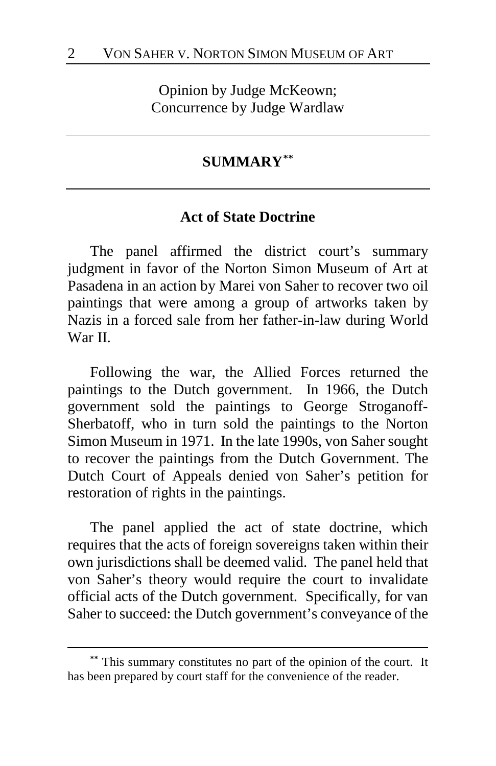Opinion by Judge McKeown; Concurrence by Judge Wardlaw

## **SUMMARY[\\*\\*](#page-1-0)**

## **Act of State Doctrine**

The panel affirmed the district court's summary judgment in favor of the Norton Simon Museum of Art at Pasadena in an action by Marei von Saher to recover two oil paintings that were among a group of artworks taken by Nazis in a forced sale from her father-in-law during World War II.

Following the war, the Allied Forces returned the paintings to the Dutch government. In 1966, the Dutch government sold the paintings to George Stroganoff-Sherbatoff, who in turn sold the paintings to the Norton Simon Museum in 1971. In the late 1990s, von Saher sought to recover the paintings from the Dutch Government. The Dutch Court of Appeals denied von Saher's petition for restoration of rights in the paintings.

The panel applied the act of state doctrine, which requires that the acts of foreign sovereigns taken within their own jurisdictions shall be deemed valid. The panel held that von Saher's theory would require the court to invalidate official acts of the Dutch government. Specifically, for van Saher to succeed: the Dutch government's conveyance of the

<span id="page-1-0"></span>**<sup>\*\*</sup>** This summary constitutes no part of the opinion of the court. It has been prepared by court staff for the convenience of the reader.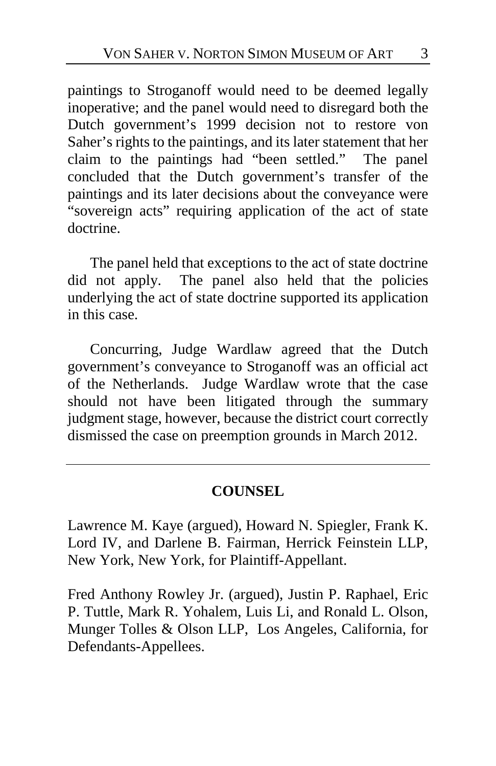paintings to Stroganoff would need to be deemed legally inoperative; and the panel would need to disregard both the Dutch government's 1999 decision not to restore von Saher's rights to the paintings, and its later statement that her claim to the paintings had "been settled." The panel concluded that the Dutch government's transfer of the paintings and its later decisions about the conveyance were "sovereign acts" requiring application of the act of state doctrine.

The panel held that exceptions to the act of state doctrine did not apply. The panel also held that the policies underlying the act of state doctrine supported its application in this case.

Concurring, Judge Wardlaw agreed that the Dutch government's conveyance to Stroganoff was an official act of the Netherlands. Judge Wardlaw wrote that the case should not have been litigated through the summary judgment stage, however, because the district court correctly dismissed the case on preemption grounds in March 2012.

# **COUNSEL**

Lawrence M. Kaye (argued), Howard N. Spiegler, Frank K. Lord IV, and Darlene B. Fairman, Herrick Feinstein LLP, New York, New York, for Plaintiff-Appellant.

Fred Anthony Rowley Jr. (argued), Justin P. Raphael, Eric P. Tuttle, Mark R. Yohalem, Luis Li, and Ronald L. Olson, Munger Tolles & Olson LLP, Los Angeles, California, for Defendants-Appellees.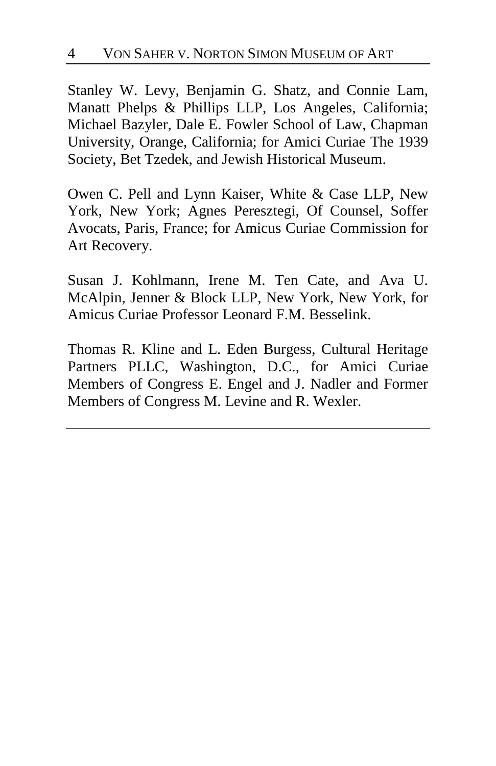Stanley W. Levy, Benjamin G. Shatz, and Connie Lam, Manatt Phelps & Phillips LLP, Los Angeles, California; Michael Bazyler, Dale E. Fowler School of Law, Chapman University, Orange, California; for Amici Curiae The 1939 Society, Bet Tzedek, and Jewish Historical Museum.

Owen C. Pell and Lynn Kaiser, White & Case LLP, New York, New York; Agnes Peresztegi, Of Counsel, Soffer Avocats, Paris, France; for Amicus Curiae Commission for Art Recovery.

Susan J. Kohlmann, Irene M. Ten Cate, and Ava U. McAlpin, Jenner & Block LLP, New York, New York, for Amicus Curiae Professor Leonard F.M. Besselink.

Thomas R. Kline and L. Eden Burgess, Cultural Heritage Partners PLLC, Washington, D.C., for Amici Curiae Members of Congress E. Engel and J. Nadler and Former Members of Congress M. Levine and R. Wexler.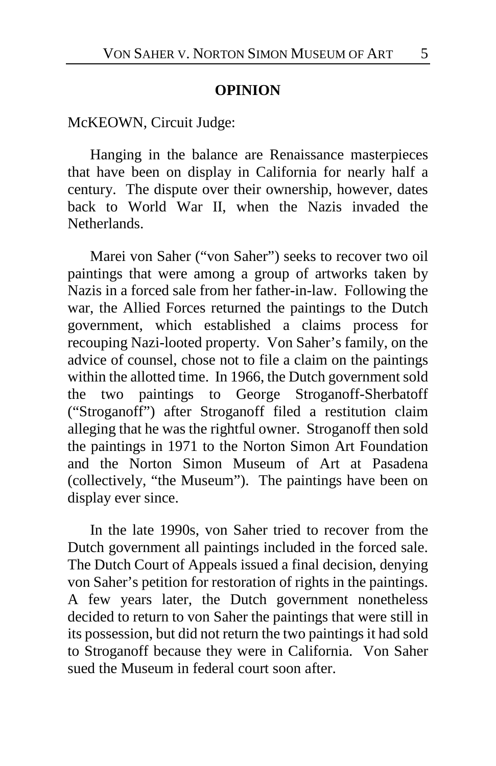## **OPINION**

McKEOWN, Circuit Judge:

Hanging in the balance are Renaissance masterpieces that have been on display in California for nearly half a century. The dispute over their ownership, however, dates back to World War II, when the Nazis invaded the Netherlands.

Marei von Saher ("von Saher") seeks to recover two oil paintings that were among a group of artworks taken by Nazis in a forced sale from her father-in-law. Following the war, the Allied Forces returned the paintings to the Dutch government, which established a claims process for recouping Nazi-looted property. Von Saher's family, on the advice of counsel, chose not to file a claim on the paintings within the allotted time. In 1966, the Dutch government sold the two paintings to George Stroganoff-Sherbatoff ("Stroganoff") after Stroganoff filed a restitution claim alleging that he was the rightful owner. Stroganoff then sold the paintings in 1971 to the Norton Simon Art Foundation and the Norton Simon Museum of Art at Pasadena (collectively, "the Museum"). The paintings have been on display ever since.

In the late 1990s, von Saher tried to recover from the Dutch government all paintings included in the forced sale. The Dutch Court of Appeals issued a final decision, denying von Saher's petition for restoration of rights in the paintings. A few years later, the Dutch government nonetheless decided to return to von Saher the paintings that were still in its possession, but did not return the two paintings it had sold to Stroganoff because they were in California. Von Saher sued the Museum in federal court soon after.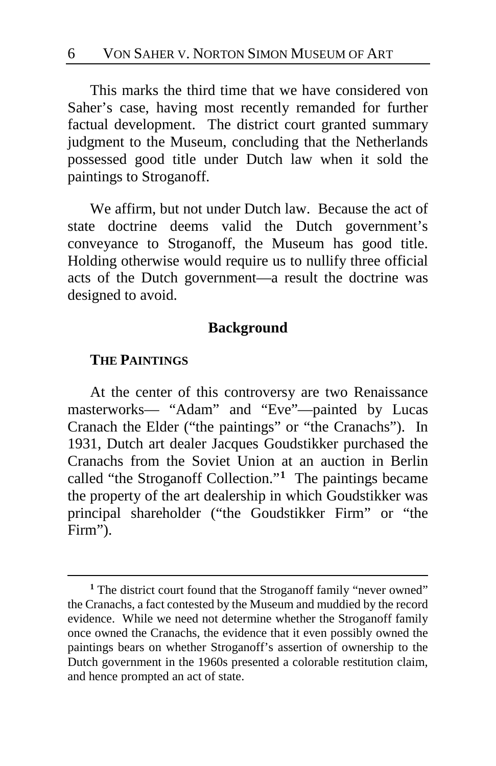This marks the third time that we have considered von Saher's case, having most recently remanded for further factual development. The district court granted summary judgment to the Museum, concluding that the Netherlands possessed good title under Dutch law when it sold the paintings to Stroganoff.

We affirm, but not under Dutch law. Because the act of state doctrine deems valid the Dutch government's conveyance to Stroganoff, the Museum has good title. Holding otherwise would require us to nullify three official acts of the Dutch government—a result the doctrine was designed to avoid.

## **Background**

## **THE PAINTINGS**

 $\overline{a}$ 

At the center of this controversy are two Renaissance masterworks— "Adam" and "Eve"—painted by Lucas Cranach the Elder ("the paintings" or "the Cranachs"). In 1931, Dutch art dealer Jacques Goudstikker purchased the Cranachs from the Soviet Union at an auction in Berlin called "the Stroganoff Collection."**[1](#page-5-0)** The paintings became the property of the art dealership in which Goudstikker was principal shareholder ("the Goudstikker Firm" or "the Firm").

<span id="page-5-0"></span><sup>&</sup>lt;sup>1</sup> The district court found that the Stroganoff family "never owned" the Cranachs, a fact contested by the Museum and muddied by the record evidence. While we need not determine whether the Stroganoff family once owned the Cranachs, the evidence that it even possibly owned the paintings bears on whether Stroganoff's assertion of ownership to the Dutch government in the 1960s presented a colorable restitution claim, and hence prompted an act of state.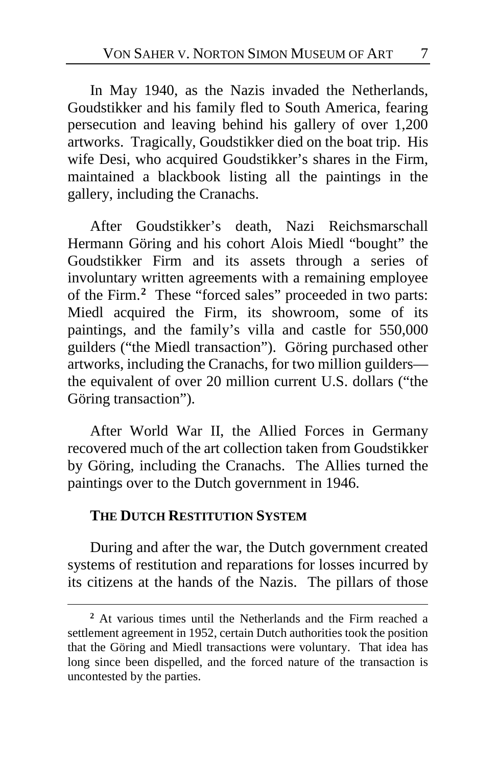In May 1940, as the Nazis invaded the Netherlands, Goudstikker and his family fled to South America, fearing persecution and leaving behind his gallery of over 1,200 artworks. Tragically, Goudstikker died on the boat trip. His wife Desi, who acquired Goudstikker's shares in the Firm, maintained a blackbook listing all the paintings in the gallery, including the Cranachs.

After Goudstikker's death, Nazi Reichsmarschall Hermann Göring and his cohort Alois Miedl "bought" the Goudstikker Firm and its assets through a series of involuntary written agreements with a remaining employee of the Firm.**[2](#page-6-0)** These "forced sales" proceeded in two parts: Miedl acquired the Firm, its showroom, some of its paintings, and the family's villa and castle for 550,000 guilders ("the Miedl transaction"). Göring purchased other artworks, including the Cranachs, for two million guilders the equivalent of over 20 million current U.S. dollars ("the Göring transaction").

After World War II, the Allied Forces in Germany recovered much of the art collection taken from Goudstikker by Göring, including the Cranachs. The Allies turned the paintings over to the Dutch government in 1946.

## **THE DUTCH RESTITUTION SYSTEM**

 $\overline{a}$ 

During and after the war, the Dutch government created systems of restitution and reparations for losses incurred by its citizens at the hands of the Nazis. The pillars of those

<span id="page-6-0"></span>**<sup>2</sup>** At various times until the Netherlands and the Firm reached a settlement agreement in 1952, certain Dutch authorities took the position that the Göring and Miedl transactions were voluntary. That idea has long since been dispelled, and the forced nature of the transaction is uncontested by the parties.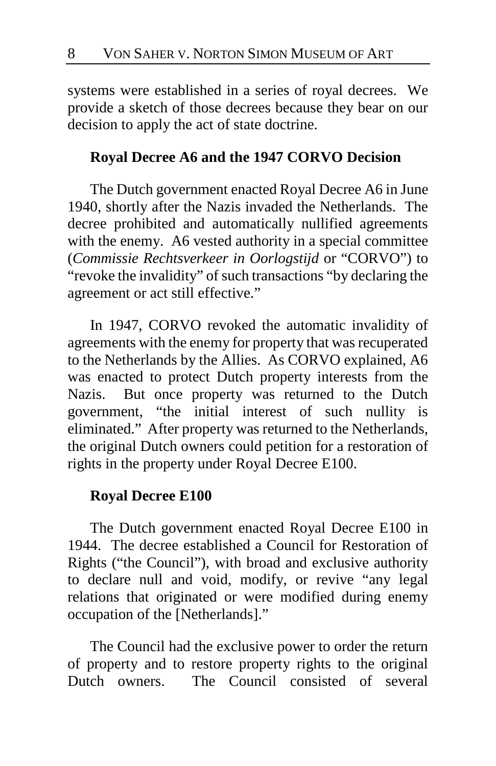systems were established in a series of royal decrees. We provide a sketch of those decrees because they bear on our decision to apply the act of state doctrine.

## **Royal Decree A6 and the 1947 CORVO Decision**

The Dutch government enacted Royal Decree A6 in June 1940, shortly after the Nazis invaded the Netherlands. The decree prohibited and automatically nullified agreements with the enemy. A6 vested authority in a special committee (*Commissie Rechtsverkeer in Oorlogstijd* or "CORVO") to "revoke the invalidity" of such transactions "by declaring the agreement or act still effective."

In 1947, CORVO revoked the automatic invalidity of agreements with the enemy for property that was recuperated to the Netherlands by the Allies. As CORVO explained, A6 was enacted to protect Dutch property interests from the Nazis. But once property was returned to the Dutch government, "the initial interest of such nullity is eliminated." After property was returned to the Netherlands, the original Dutch owners could petition for a restoration of rights in the property under Royal Decree E100.

## **Royal Decree E100**

The Dutch government enacted Royal Decree E100 in 1944. The decree established a Council for Restoration of Rights ("the Council"), with broad and exclusive authority to declare null and void, modify, or revive "any legal relations that originated or were modified during enemy occupation of the [Netherlands]."

The Council had the exclusive power to order the return of property and to restore property rights to the original Dutch owners. The Council consisted of several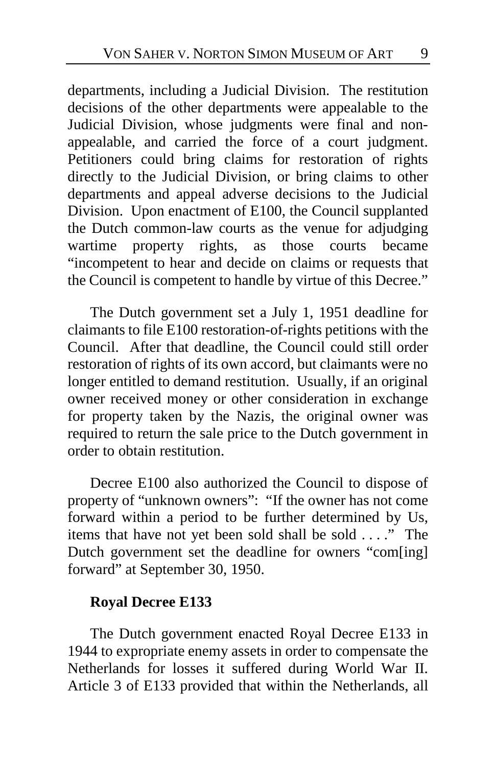departments, including a Judicial Division. The restitution decisions of the other departments were appealable to the Judicial Division, whose judgments were final and nonappealable, and carried the force of a court judgment. Petitioners could bring claims for restoration of rights directly to the Judicial Division, or bring claims to other departments and appeal adverse decisions to the Judicial Division. Upon enactment of E100, the Council supplanted the Dutch common-law courts as the venue for adjudging wartime property rights, as those courts became "incompetent to hear and decide on claims or requests that the Council is competent to handle by virtue of this Decree."

The Dutch government set a July 1, 1951 deadline for claimants to file E100 restoration-of-rights petitions with the Council. After that deadline, the Council could still order restoration of rights of its own accord, but claimants were no longer entitled to demand restitution. Usually, if an original owner received money or other consideration in exchange for property taken by the Nazis, the original owner was required to return the sale price to the Dutch government in order to obtain restitution.

Decree E100 also authorized the Council to dispose of property of "unknown owners": "If the owner has not come forward within a period to be further determined by Us, items that have not yet been sold shall be sold . . . ." The Dutch government set the deadline for owners "com[ing] forward" at September 30, 1950.

## **Royal Decree E133**

The Dutch government enacted Royal Decree E133 in 1944 to expropriate enemy assets in order to compensate the Netherlands for losses it suffered during World War II. Article 3 of E133 provided that within the Netherlands, all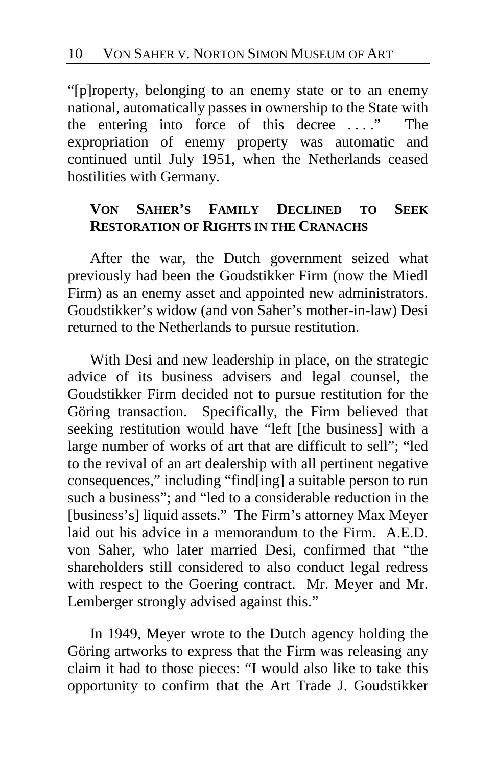"[p]roperty, belonging to an enemy state or to an enemy national, automatically passes in ownership to the State with the entering into force of this decree . . . ." The expropriation of enemy property was automatic and continued until July 1951, when the Netherlands ceased hostilities with Germany.

# **VON SAHER'S FAMILY DECLINED TO SEEK RESTORATION OF RIGHTS IN THE CRANACHS**

After the war, the Dutch government seized what previously had been the Goudstikker Firm (now the Miedl Firm) as an enemy asset and appointed new administrators. Goudstikker's widow (and von Saher's mother-in-law) Desi returned to the Netherlands to pursue restitution.

With Desi and new leadership in place, on the strategic advice of its business advisers and legal counsel, the Goudstikker Firm decided not to pursue restitution for the Göring transaction. Specifically, the Firm believed that seeking restitution would have "left [the business] with a large number of works of art that are difficult to sell"; "led to the revival of an art dealership with all pertinent negative consequences," including "find[ing] a suitable person to run such a business"; and "led to a considerable reduction in the [business's] liquid assets." The Firm's attorney Max Meyer laid out his advice in a memorandum to the Firm. A.E.D. von Saher, who later married Desi, confirmed that "the shareholders still considered to also conduct legal redress with respect to the Goering contract. Mr. Meyer and Mr. Lemberger strongly advised against this."

In 1949, Meyer wrote to the Dutch agency holding the Göring artworks to express that the Firm was releasing any claim it had to those pieces: "I would also like to take this opportunity to confirm that the Art Trade J. Goudstikker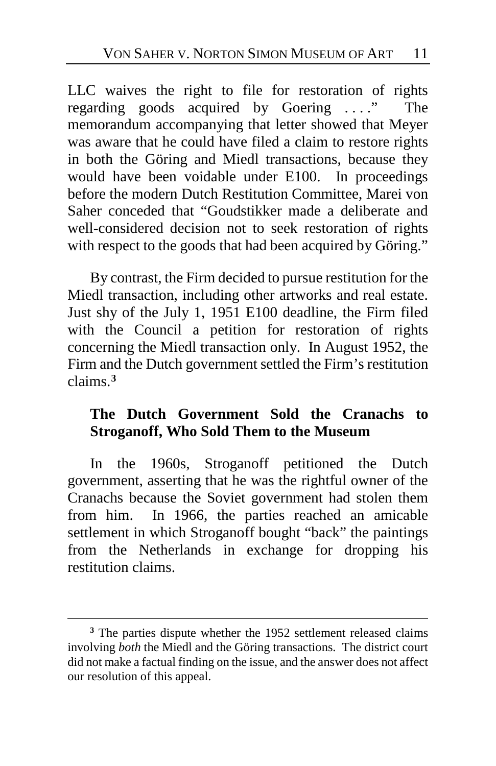LLC waives the right to file for restoration of rights regarding goods acquired by Goering . . . ." The memorandum accompanying that letter showed that Meyer was aware that he could have filed a claim to restore rights in both the Göring and Miedl transactions, because they would have been voidable under E100. In proceedings before the modern Dutch Restitution Committee, Marei von Saher conceded that "Goudstikker made a deliberate and well-considered decision not to seek restoration of rights with respect to the goods that had been acquired by Göring."

By contrast, the Firm decided to pursue restitution for the Miedl transaction, including other artworks and real estate. Just shy of the July 1, 1951 E100 deadline, the Firm filed with the Council a petition for restoration of rights concerning the Miedl transaction only. In August 1952, the Firm and the Dutch government settled the Firm's restitution claims.**[3](#page-10-0)**

# **The Dutch Government Sold the Cranachs to Stroganoff, Who Sold Them to the Museum**

In the 1960s, Stroganoff petitioned the Dutch government, asserting that he was the rightful owner of the Cranachs because the Soviet government had stolen them from him. In 1966, the parties reached an amicable settlement in which Stroganoff bought "back" the paintings from the Netherlands in exchange for dropping his restitution claims.

<span id="page-10-0"></span>**<sup>3</sup>** The parties dispute whether the 1952 settlement released claims involving *both* the Miedl and the Göring transactions. The district court did not make a factual finding on the issue, and the answer does not affect our resolution of this appeal.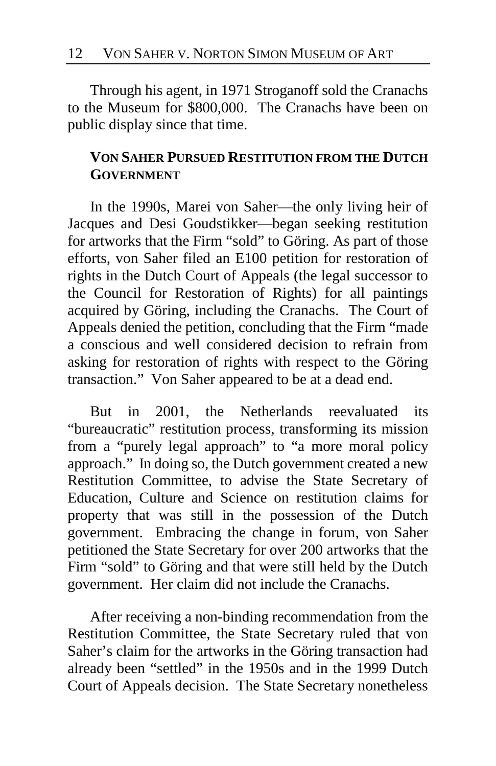Through his agent, in 1971 Stroganoff sold the Cranachs to the Museum for \$800,000. The Cranachs have been on public display since that time.

# **VON SAHER PURSUED RESTITUTION FROM THE DUTCH GOVERNMENT**

In the 1990s, Marei von Saher—the only living heir of Jacques and Desi Goudstikker—began seeking restitution for artworks that the Firm "sold" to Göring. As part of those efforts, von Saher filed an E100 petition for restoration of rights in the Dutch Court of Appeals (the legal successor to the Council for Restoration of Rights) for all paintings acquired by Göring, including the Cranachs. The Court of Appeals denied the petition, concluding that the Firm "made a conscious and well considered decision to refrain from asking for restoration of rights with respect to the Göring transaction." Von Saher appeared to be at a dead end.

But in 2001, the Netherlands reevaluated its "bureaucratic" restitution process, transforming its mission from a "purely legal approach" to "a more moral policy approach." In doing so, the Dutch government created a new Restitution Committee, to advise the State Secretary of Education, Culture and Science on restitution claims for property that was still in the possession of the Dutch government. Embracing the change in forum, von Saher petitioned the State Secretary for over 200 artworks that the Firm "sold" to Göring and that were still held by the Dutch government. Her claim did not include the Cranachs.

After receiving a non-binding recommendation from the Restitution Committee, the State Secretary ruled that von Saher's claim for the artworks in the Göring transaction had already been "settled" in the 1950s and in the 1999 Dutch Court of Appeals decision. The State Secretary nonetheless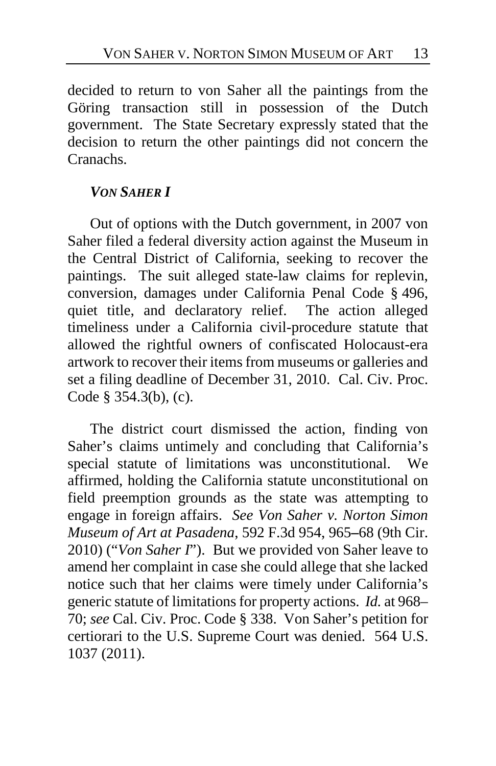decided to return to von Saher all the paintings from the Göring transaction still in possession of the Dutch government. The State Secretary expressly stated that the decision to return the other paintings did not concern the Cranachs.

# *VON SAHER I*

Out of options with the Dutch government, in 2007 von Saher filed a federal diversity action against the Museum in the Central District of California, seeking to recover the paintings. The suit alleged state-law claims for replevin, conversion, damages under California Penal Code § 496, quiet title, and declaratory relief. The action alleged timeliness under a California civil-procedure statute that allowed the rightful owners of confiscated Holocaust-era artwork to recover their items from museums or galleries and set a filing deadline of December 31, 2010. Cal. Civ. Proc. Code § 354.3(b), (c).

The district court dismissed the action, finding von Saher's claims untimely and concluding that California's special statute of limitations was unconstitutional. We affirmed, holding the California statute unconstitutional on field preemption grounds as the state was attempting to engage in foreign affairs. *See Von Saher v. Norton Simon Museum of Art at Pasadena*, 592 F.3d 954, 965**–**68 (9th Cir. 2010) ("*Von Saher I*"). But we provided von Saher leave to amend her complaint in case she could allege that she lacked notice such that her claims were timely under California's generic statute of limitations for property actions. *Id.* at 968– 70; *see* Cal. Civ. Proc. Code § 338.Von Saher's petition for certiorari to the U.S. Supreme Court was denied. 564 U.S. 1037 (2011).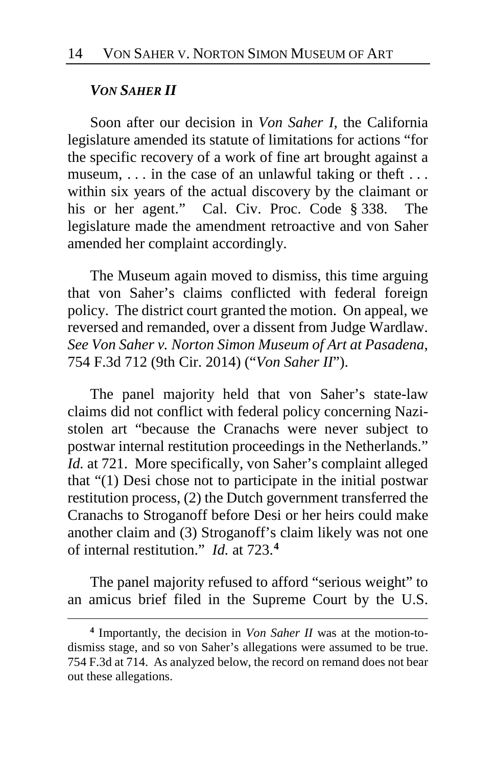## *VON SAHER II*

 $\overline{a}$ 

Soon after our decision in *Von Saher I*, the California legislature amended its statute of limitations for actions "for the specific recovery of a work of fine art brought against a museum, ... in the case of an unlawful taking or theft ... within six years of the actual discovery by the claimant or his or her agent." Cal. Civ. Proc. Code § 338. The legislature made the amendment retroactive and von Saher amended her complaint accordingly.

The Museum again moved to dismiss, this time arguing that von Saher's claims conflicted with federal foreign policy. The district court granted the motion. On appeal, we reversed and remanded, over a dissent from Judge Wardlaw. *See Von Saher v. Norton Simon Museum of Art at Pasadena*, 754 F.3d 712 (9th Cir. 2014) ("*Von Saher II*").

The panel majority held that von Saher's state-law claims did not conflict with federal policy concerning Nazistolen art "because the Cranachs were never subject to postwar internal restitution proceedings in the Netherlands." *Id.* at 721. More specifically, von Saher's complaint alleged that "(1) Desi chose not to participate in the initial postwar restitution process, (2) the Dutch government transferred the Cranachs to Stroganoff before Desi or her heirs could make another claim and (3) Stroganoff's claim likely was not one of internal restitution." *Id.* at 723.**[4](#page-13-0)**

The panel majority refused to afford "serious weight" to an amicus brief filed in the Supreme Court by the U.S.

<span id="page-13-0"></span>**<sup>4</sup>** Importantly, the decision in *Von Saher II* was at the motion-todismiss stage, and so von Saher's allegations were assumed to be true. 754 F.3d at 714. As analyzed below, the record on remand does not bear out these allegations.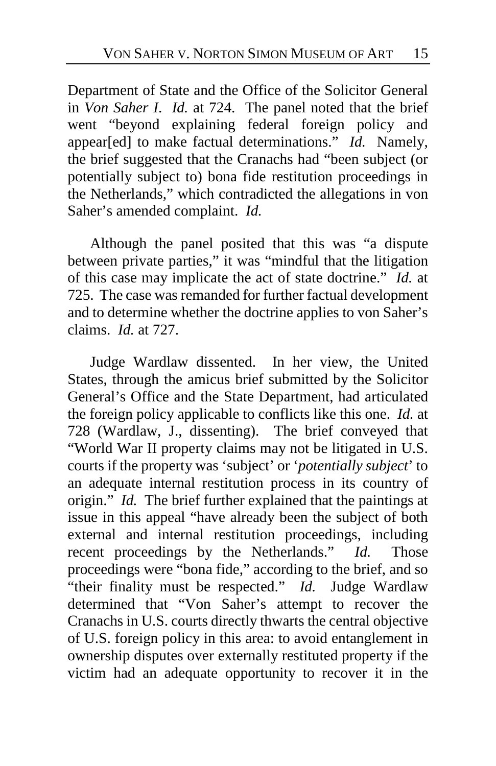Department of State and the Office of the Solicitor General in *Von Saher I*. *Id.* at 724. The panel noted that the brief went "beyond explaining federal foreign policy and appear[ed] to make factual determinations." *Id.* Namely, the brief suggested that the Cranachs had "been subject (or potentially subject to) bona fide restitution proceedings in the Netherlands," which contradicted the allegations in von Saher's amended complaint. *Id.*

Although the panel posited that this was "a dispute between private parties," it was "mindful that the litigation of this case may implicate the act of state doctrine." *Id.* at 725. The case was remanded for further factual development and to determine whether the doctrine applies to von Saher's claims. *Id.* at 727.

Judge Wardlaw dissented. In her view, the United States, through the amicus brief submitted by the Solicitor General's Office and the State Department, had articulated the foreign policy applicable to conflicts like this one. *Id.* at 728 (Wardlaw, J., dissenting). The brief conveyed that "World War II property claims may not be litigated in U.S. courts if the property was 'subject' or '*potentially subject*' to an adequate internal restitution process in its country of origin." *Id.* The brief further explained that the paintings at issue in this appeal "have already been the subject of both external and internal restitution proceedings, including recent proceedings by the Netherlands." *Id.* Those proceedings were "bona fide," according to the brief, and so "their finality must be respected." *Id.* Judge Wardlaw determined that "Von Saher's attempt to recover the Cranachs in U.S. courts directly thwarts the central objective of U.S. foreign policy in this area: to avoid entanglement in ownership disputes over externally restituted property if the victim had an adequate opportunity to recover it in the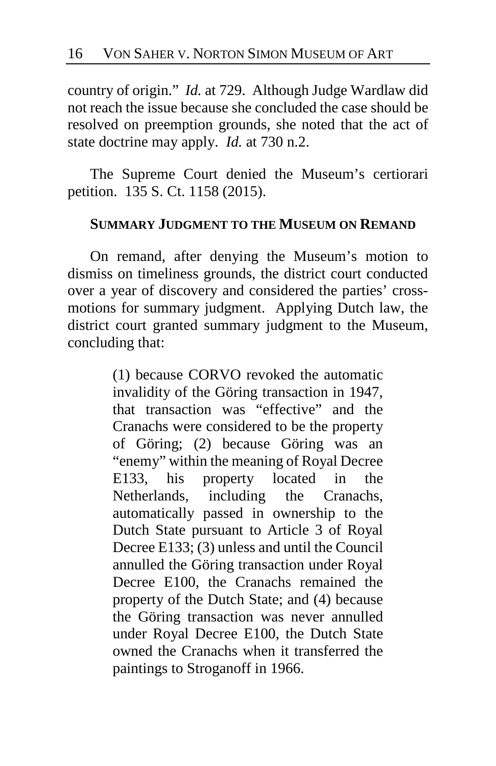country of origin." *Id.* at 729. Although Judge Wardlaw did not reach the issue because she concluded the case should be resolved on preemption grounds, she noted that the act of state doctrine may apply. *Id.* at 730 n.2.

The Supreme Court denied the Museum's certiorari petition. 135 S. Ct. 1158 (2015).

## **SUMMARY JUDGMENT TO THE MUSEUM ON REMAND**

On remand, after denying the Museum's motion to dismiss on timeliness grounds, the district court conducted over a year of discovery and considered the parties' crossmotions for summary judgment. Applying Dutch law, the district court granted summary judgment to the Museum, concluding that:

> (1) because CORVO revoked the automatic invalidity of the Göring transaction in 1947, that transaction was "effective" and the Cranachs were considered to be the property of Göring; (2) because Göring was an "enemy" within the meaning of Royal Decree E133, his property located in the Netherlands, including the Cranachs, automatically passed in ownership to the Dutch State pursuant to Article 3 of Royal Decree E133; (3) unless and until the Council annulled the Göring transaction under Royal Decree E100, the Cranachs remained the property of the Dutch State; and (4) because the Göring transaction was never annulled under Royal Decree E100, the Dutch State owned the Cranachs when it transferred the paintings to Stroganoff in 1966.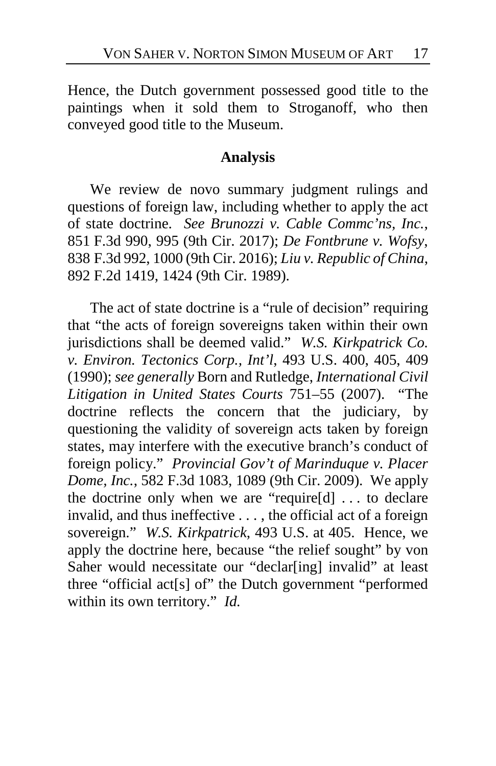Hence, the Dutch government possessed good title to the paintings when it sold them to Stroganoff, who then conveyed good title to the Museum.

## **Analysis**

We review de novo summary judgment rulings and questions of foreign law, including whether to apply the act of state doctrine. *See Brunozzi v. Cable Commc'ns, Inc.*, 851 F.3d 990, 995 (9th Cir. 2017); *De Fontbrune v. Wofsy*, 838 F.3d 992, 1000 (9th Cir. 2016); *Liu v. Republic of China*, 892 F.2d 1419, 1424 (9th Cir. 1989).

The act of state doctrine is a "rule of decision" requiring that "the acts of foreign sovereigns taken within their own jurisdictions shall be deemed valid." *W.S. Kirkpatrick Co. v. Environ. Tectonics Corp., Int'l*, 493 U.S. 400, 405, 409 (1990); *see generally* Born and Rutledge, *International Civil Litigation in United States Courts* 751–55 (2007). "The doctrine reflects the concern that the judiciary, by questioning the validity of sovereign acts taken by foreign states, may interfere with the executive branch's conduct of foreign policy." *Provincial Gov't of Marinduque v. Placer Dome, Inc.*, 582 F.3d 1083, 1089 (9th Cir. 2009). We apply the doctrine only when we are "require[d] . . . to declare invalid, and thus ineffective . . . , the official act of a foreign sovereign." *W.S. Kirkpatrick*, 493 U.S. at 405. Hence, we apply the doctrine here, because "the relief sought" by von Saher would necessitate our "declar[ing] invalid" at least three "official act[s] of" the Dutch government "performed within its own territory." *Id.*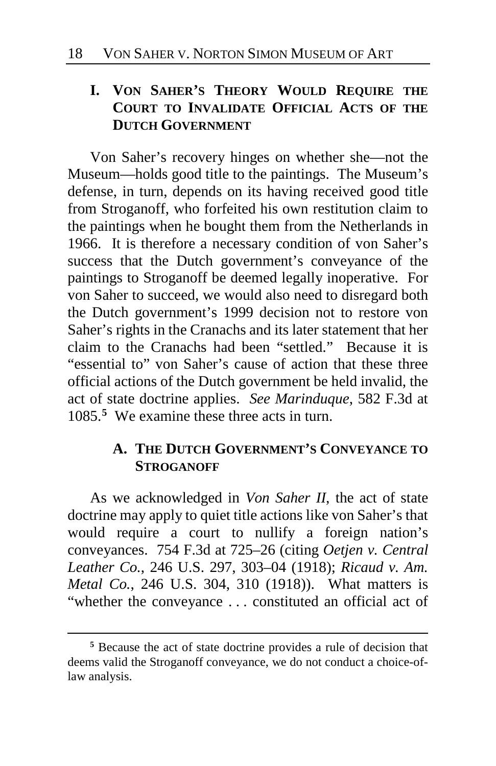# **I. VON SAHER'S THEORY WOULD REQUIRE THE COURT TO INVALIDATE OFFICIAL ACTS OF THE DUTCH GOVERNMENT**

Von Saher's recovery hinges on whether she—not the Museum—holds good title to the paintings. The Museum's defense, in turn, depends on its having received good title from Stroganoff, who forfeited his own restitution claim to the paintings when he bought them from the Netherlands in 1966. It is therefore a necessary condition of von Saher's success that the Dutch government's conveyance of the paintings to Stroganoff be deemed legally inoperative. For von Saher to succeed, we would also need to disregard both the Dutch government's 1999 decision not to restore von Saher's rights in the Cranachs and its later statement that her claim to the Cranachs had been "settled." Because it is "essential to" von Saher's cause of action that these three official actions of the Dutch government be held invalid, the act of state doctrine applies. *See Marinduque*, 582 F.3d at 1085.**[5](#page-17-0)** We examine these three acts in turn.

# **A. THE DUTCH GOVERNMENT'S CONVEYANCE TO STROGANOFF**

As we acknowledged in *Von Saher II*, the act of state doctrine may apply to quiet title actions like von Saher's that would require a court to nullify a foreign nation's conveyances. 754 F.3d at 725–26 (citing *Oetjen v. Central Leather Co.*, 246 U.S. 297, 303–04 (1918); *Ricaud v. Am. Metal Co.*, 246 U.S. 304, 310 (1918)). What matters is "whether the conveyance . . . constituted an official act of

<span id="page-17-0"></span>**<sup>5</sup>** Because the act of state doctrine provides a rule of decision that deems valid the Stroganoff conveyance, we do not conduct a choice-oflaw analysis.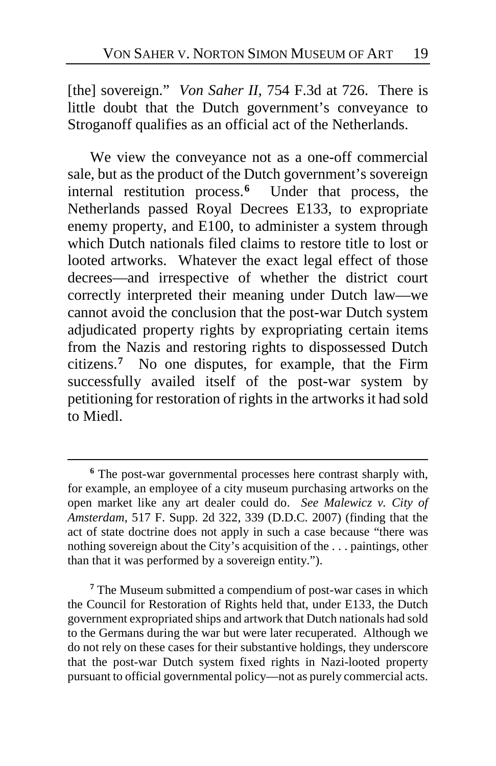<span id="page-18-2"></span>[the] sovereign." *Von Saher II*, 754 F.3d at 726. There is little doubt that the Dutch government's conveyance to Stroganoff qualifies as an official act of the Netherlands.

We view the conveyance not as a one-off commercial sale, but as the product of the Dutch government's sovereign internal restitution process.**[6](#page-18-0)** Under that process, the Netherlands passed Royal Decrees E133, to expropriate enemy property, and E100, to administer a system through which Dutch nationals filed claims to restore title to lost or looted artworks. Whatever the exact legal effect of those decrees—and irrespective of whether the district court correctly interpreted their meaning under Dutch law—we cannot avoid the conclusion that the post-war Dutch system adjudicated property rights by expropriating certain items from the Nazis and restoring rights to dispossessed Dutch citizens.**[7](#page-18-1)** No one disputes, for example, that the Firm successfully availed itself of the post-war system by petitioning for restoration of rights in the artworks it had sold to Miedl.

 $\overline{a}$ 

<span id="page-18-1"></span>**<sup>7</sup>** The Museum submitted a compendium of post-war cases in which the Council for Restoration of Rights held that, under E133, the Dutch government expropriated ships and artwork that Dutch nationals had sold to the Germans during the war but were later recuperated. Although we do not rely on these cases for their substantive holdings, they underscore that the post-war Dutch system fixed rights in Nazi-looted property pursuant to official governmental policy—not as purely commercial acts.

<span id="page-18-0"></span>**<sup>6</sup>** The post-war governmental processes here contrast sharply with, for example, an employee of a city museum purchasing artworks on the open market like any art dealer could do. *See Malewicz v. City of Amsterdam*, 517 F. Supp. 2d 322, 339 (D.D.C. 2007) (finding that the act of state doctrine does not apply in such a case because "there was nothing sovereign about the City's acquisition of the . . . paintings, other than that it was performed by a sovereign entity.").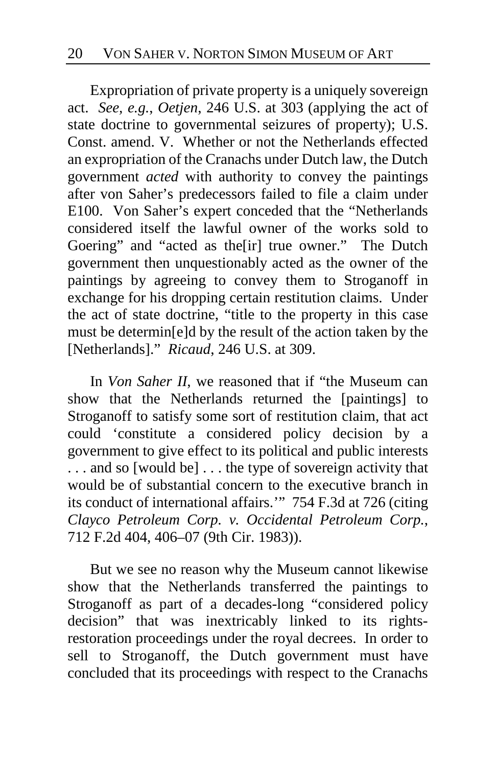Expropriation of private property is a uniquely sovereign act. *See, e.g.*, *Oetjen*, 246 U.S. at 303 (applying the act of state doctrine to governmental seizures of property); U.S. Const. amend. V. Whether or not the Netherlands effected an expropriation of the Cranachs under Dutch law, the Dutch government *acted* with authority to convey the paintings after von Saher's predecessors failed to file a claim under E100. Von Saher's expert conceded that the "Netherlands considered itself the lawful owner of the works sold to Goering" and "acted as the[ir] true owner." The Dutch government then unquestionably acted as the owner of the paintings by agreeing to convey them to Stroganoff in exchange for his dropping certain restitution claims. Under the act of state doctrine, "title to the property in this case must be determin[e]d by the result of the action taken by the [Netherlands]." *Ricaud*, 246 U.S. at 309.

In *Von Saher II*, we reasoned that if "the Museum can show that the Netherlands returned the [paintings] to Stroganoff to satisfy some sort of restitution claim, that act could 'constitute a considered policy decision by a government to give effect to its political and public interests . . . and so [would be] . . . the type of sovereign activity that would be of substantial concern to the executive branch in its conduct of international affairs.'" 754 F.3d at 726 (citing *Clayco Petroleum Corp. v. Occidental Petroleum Corp.*, 712 F.2d 404, 406–07 (9th Cir. 1983)).

But we see no reason why the Museum cannot likewise show that the Netherlands transferred the paintings to Stroganoff as part of a decades-long "considered policy decision" that was inextricably linked to its rightsrestoration proceedings under the royal decrees. In order to sell to Stroganoff, the Dutch government must have concluded that its proceedings with respect to the Cranachs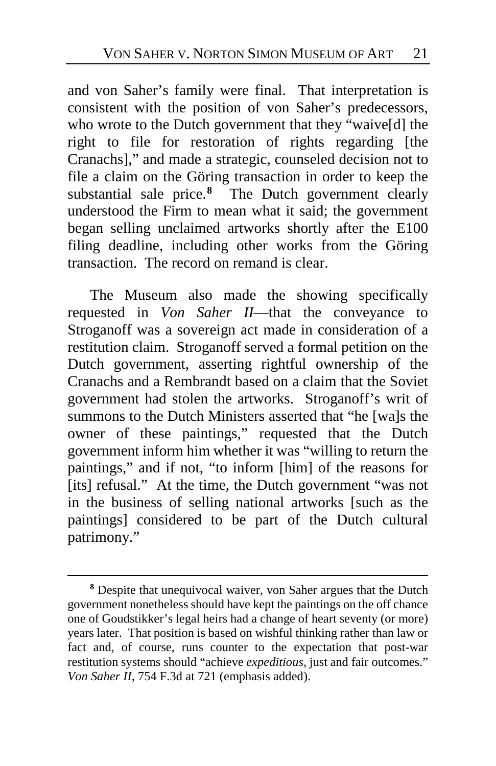and von Saher's family were final. That interpretation is consistent with the position of von Saher's predecessors, who wrote to the Dutch government that they "waive[d] the right to file for restoration of rights regarding [the Cranachs]," and made a strategic, counseled decision not to file a claim on the Göring transaction in order to keep the substantial sale price.<sup>[8](#page-20-0)</sup> The Dutch government clearly understood the Firm to mean what it said; the government began selling unclaimed artworks shortly after the E100 filing deadline, including other works from the Göring transaction. The record on remand is clear.

The Museum also made the showing specifically requested in *Von Saher II*—that the conveyance to Stroganoff was a sovereign act made in consideration of a restitution claim. Stroganoff served a formal petition on the Dutch government, asserting rightful ownership of the Cranachs and a Rembrandt based on a claim that the Soviet government had stolen the artworks. Stroganoff's writ of summons to the Dutch Ministers asserted that "he [wa]s the owner of these paintings," requested that the Dutch government inform him whether it was "willing to return the paintings," and if not, "to inform [him] of the reasons for [its] refusal." At the time, the Dutch government "was not in the business of selling national artworks [such as the paintings] considered to be part of the Dutch cultural patrimony."

<span id="page-20-0"></span>**<sup>8</sup>** Despite that unequivocal waiver, von Saher argues that the Dutch government nonetheless should have kept the paintings on the off chance one of Goudstikker's legal heirs had a change of heart seventy (or more) years later. That position is based on wishful thinking rather than law or fact and, of course, runs counter to the expectation that post-war restitution systems should "achieve *expeditious*, just and fair outcomes." *Von Saher II*, 754 F.3d at 721 (emphasis added).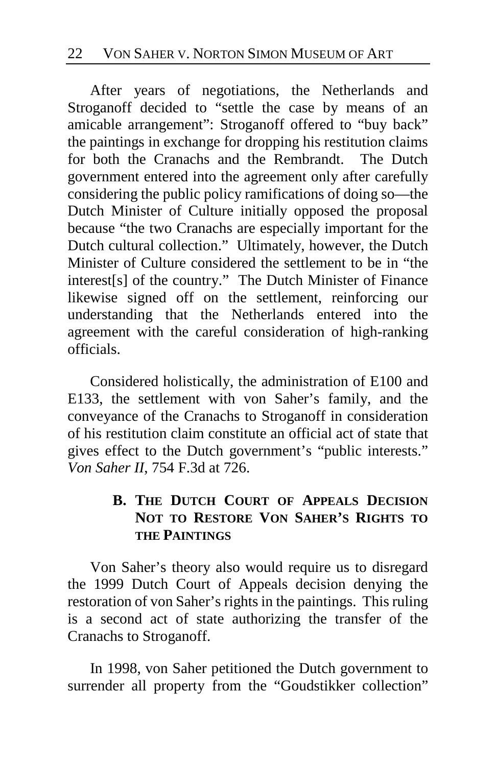After years of negotiations, the Netherlands and Stroganoff decided to "settle the case by means of an amicable arrangement": Stroganoff offered to "buy back" the paintings in exchange for dropping his restitution claims<br>for both the Cranachs and the Rembrandt. The Dutch for both the Cranachs and the Rembrandt. government entered into the agreement only after carefully considering the public policy ramifications of doing so—the Dutch Minister of Culture initially opposed the proposal because "the two Cranachs are especially important for the Dutch cultural collection." Ultimately, however, the Dutch Minister of Culture considered the settlement to be in "the interest[s] of the country." The Dutch Minister of Finance likewise signed off on the settlement, reinforcing our understanding that the Netherlands entered into the agreement with the careful consideration of high-ranking officials.

Considered holistically, the administration of E100 and E133, the settlement with von Saher's family, and the conveyance of the Cranachs to Stroganoff in consideration of his restitution claim constitute an official act of state that gives effect to the Dutch government's "public interests." *Von Saher II*, 754 F.3d at 726.

# **B. THE DUTCH COURT OF APPEALS DECISION NOT TO RESTORE VON SAHER'S RIGHTS TO THE PAINTINGS**

Von Saher's theory also would require us to disregard the 1999 Dutch Court of Appeals decision denying the restoration of von Saher's rights in the paintings. This ruling is a second act of state authorizing the transfer of the Cranachs to Stroganoff.

In 1998, von Saher petitioned the Dutch government to surrender all property from the "Goudstikker collection"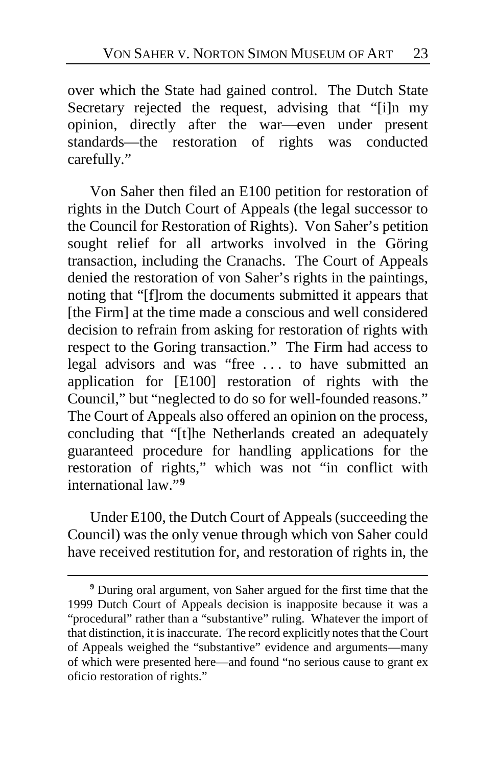over which the State had gained control. The Dutch State Secretary rejected the request, advising that "[i]n my opinion, directly after the war—even under present standards—the restoration of rights was conducted carefully."

Von Saher then filed an E100 petition for restoration of rights in the Dutch Court of Appeals (the legal successor to the Council for Restoration of Rights). Von Saher's petition sought relief for all artworks involved in the Göring transaction, including the Cranachs. The Court of Appeals denied the restoration of von Saher's rights in the paintings, noting that "[f]rom the documents submitted it appears that [the Firm] at the time made a conscious and well considered decision to refrain from asking for restoration of rights with respect to the Goring transaction." The Firm had access to legal advisors and was "free . . . to have submitted an application for [E100] restoration of rights with the Council," but "neglected to do so for well-founded reasons." The Court of Appeals also offered an opinion on the process, concluding that "[t]he Netherlands created an adequately guaranteed procedure for handling applications for the restoration of rights," which was not "in conflict with international law."**[9](#page-22-0)**

Under E100, the Dutch Court of Appeals (succeeding the Council) was the only venue through which von Saher could have received restitution for, and restoration of rights in, the

<span id="page-22-0"></span>**<sup>9</sup>** During oral argument, von Saher argued for the first time that the 1999 Dutch Court of Appeals decision is inapposite because it was a "procedural" rather than a "substantive" ruling. Whatever the import of that distinction, it is inaccurate. The record explicitly notes that the Court of Appeals weighed the "substantive" evidence and arguments—many of which were presented here—and found "no serious cause to grant ex oficio restoration of rights."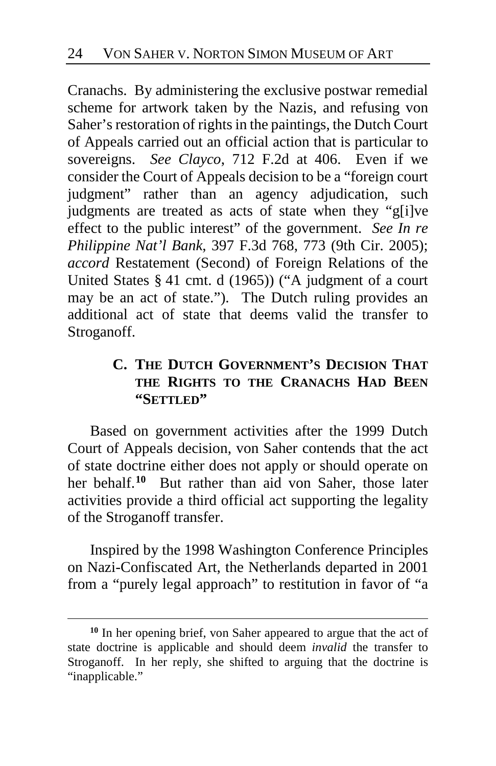Cranachs. By administering the exclusive postwar remedial scheme for artwork taken by the Nazis, and refusing von Saher's restoration of rights in the paintings, the Dutch Court of Appeals carried out an official action that is particular to sovereigns. *See Clayco*, 712 F.2d at 406. Even if we consider the Court of Appeals decision to be a "foreign court judgment" rather than an agency adjudication, such judgments are treated as acts of state when they "g[i]ve effect to the public interest" of the government. *See In re Philippine Nat'l Bank*, 397 F.3d 768, 773 (9th Cir. 2005); *accord* Restatement (Second) of Foreign Relations of the United States § 41 cmt. d (1965)) ("A judgment of a court may be an act of state."). The Dutch ruling provides an additional act of state that deems valid the transfer to Stroganoff.

# **C. THE DUTCH GOVERNMENT'S DECISION THAT THE RIGHTS TO THE CRANACHS HAD BEEN "SETTLED"**

Based on government activities after the 1999 Dutch Court of Appeals decision, von Saher contends that the act of state doctrine either does not apply or should operate on her behalf.**[10](#page-23-0)** But rather than aid von Saher, those later activities provide a third official act supporting the legality of the Stroganoff transfer.

Inspired by the 1998 Washington Conference Principles on Nazi-Confiscated Art, the Netherlands departed in 2001 from a "purely legal approach" to restitution in favor of "a

<span id="page-23-0"></span>**<sup>10</sup>** In her opening brief, von Saher appeared to argue that the act of state doctrine is applicable and should deem *invalid* the transfer to Stroganoff. In her reply, she shifted to arguing that the doctrine is "inapplicable."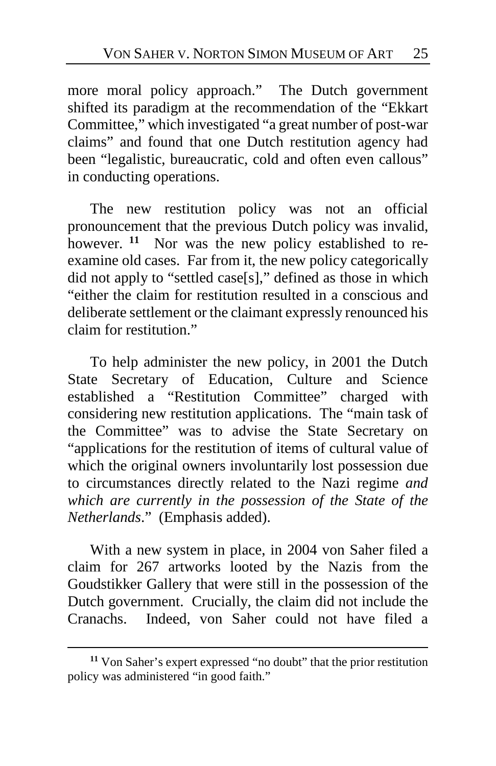more moral policy approach." The Dutch government shifted its paradigm at the recommendation of the "Ekkart Committee," which investigated "a great number of post-war claims" and found that one Dutch restitution agency had been "legalistic, bureaucratic, cold and often even callous" in conducting operations.

The new restitution policy was not an official pronouncement that the previous Dutch policy was invalid, however. <sup>[11](#page-24-0)</sup> Nor was the new policy established to reexamine old cases. Far from it, the new policy categorically did not apply to "settled case[s]," defined as those in which "either the claim for restitution resulted in a conscious and deliberate settlement or the claimant expressly renounced his claim for restitution."

To help administer the new policy, in 2001 the Dutch State Secretary of Education, Culture and Science established a "Restitution Committee" charged with considering new restitution applications. The "main task of the Committee" was to advise the State Secretary on "applications for the restitution of items of cultural value of which the original owners involuntarily lost possession due to circumstances directly related to the Nazi regime *and which are currently in the possession of the State of the Netherlands*." (Emphasis added).

With a new system in place, in 2004 von Saher filed a claim for 267 artworks looted by the Nazis from the Goudstikker Gallery that were still in the possession of the Dutch government. Crucially, the claim did not include the Cranachs. Indeed, von Saher could not have filed a

<span id="page-24-0"></span>**<sup>11</sup>** Von Saher's expert expressed "no doubt" that the prior restitution policy was administered "in good faith."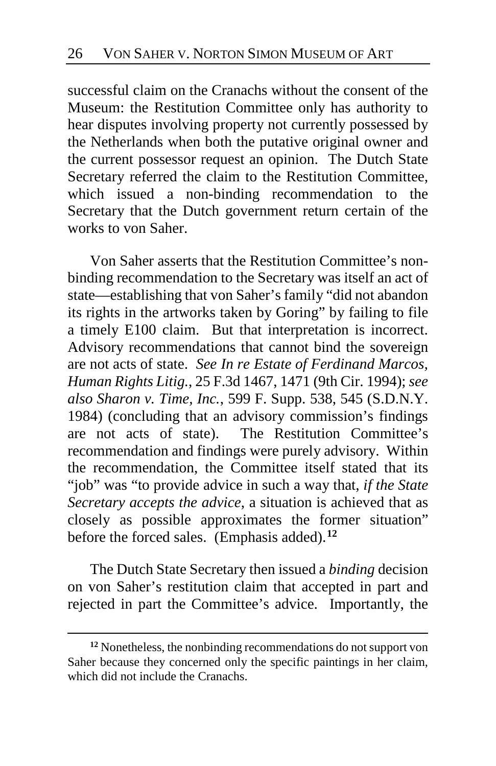successful claim on the Cranachs without the consent of the Museum: the Restitution Committee only has authority to hear disputes involving property not currently possessed by the Netherlands when both the putative original owner and the current possessor request an opinion. The Dutch State Secretary referred the claim to the Restitution Committee, which issued a non-binding recommendation to the Secretary that the Dutch government return certain of the works to von Saher.

Von Saher asserts that the Restitution Committee's nonbinding recommendation to the Secretary was itself an act of state—establishing that von Saher's family "did not abandon its rights in the artworks taken by Goring" by failing to file a timely E100 claim. But that interpretation is incorrect. Advisory recommendations that cannot bind the sovereign are not acts of state. *See In re Estate of Ferdinand Marcos, Human Rights Litig.*, 25 F.3d 1467, 1471 (9th Cir. 1994); *see also Sharon v. Time, Inc.*, 599 F. Supp. 538, 545 (S.D.N.Y. 1984) (concluding that an advisory commission's findings are not acts of state). The Restitution Committee's recommendation and findings were purely advisory. Within the recommendation, the Committee itself stated that its "job" was "to provide advice in such a way that, *if the State Secretary accepts the advice*, a situation is achieved that as closely as possible approximates the former situation" before the forced sales. (Emphasis added).**[12](#page-25-0)**

The Dutch State Secretary then issued a *binding* decision on von Saher's restitution claim that accepted in part and rejected in part the Committee's advice. Importantly, the

<span id="page-25-0"></span>**<sup>12</sup>** Nonetheless, the nonbinding recommendations do not support von Saher because they concerned only the specific paintings in her claim, which did not include the Cranachs.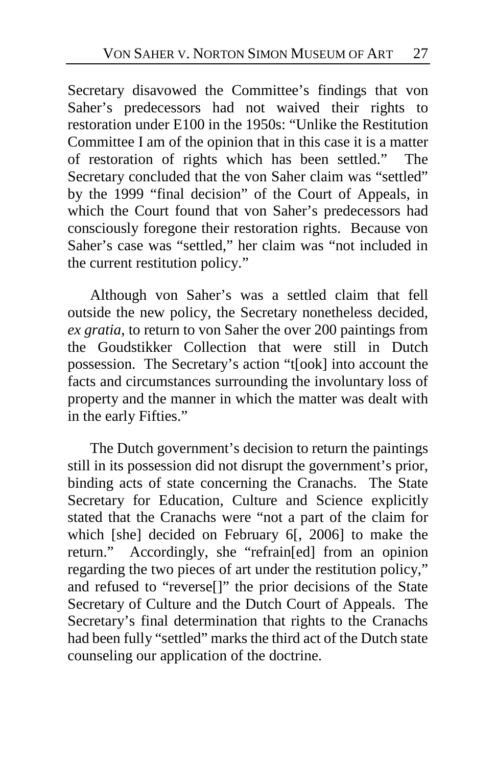Secretary disavowed the Committee's findings that von Saher's predecessors had not waived their rights to restoration under E100 in the 1950s: "Unlike the Restitution Committee I am of the opinion that in this case it is a matter of restoration of rights which has been settled." The Secretary concluded that the von Saher claim was "settled" by the 1999 "final decision" of the Court of Appeals, in which the Court found that von Saher's predecessors had consciously foregone their restoration rights. Because von Saher's case was "settled," her claim was "not included in the current restitution policy."

Although von Saher's was a settled claim that fell outside the new policy, the Secretary nonetheless decided, *ex gratia*, to return to von Saher the over 200 paintings from the Goudstikker Collection that were still in Dutch possession. The Secretary's action "t[ook] into account the facts and circumstances surrounding the involuntary loss of property and the manner in which the matter was dealt with in the early Fifties."

The Dutch government's decision to return the paintings still in its possession did not disrupt the government's prior, binding acts of state concerning the Cranachs. The State Secretary for Education, Culture and Science explicitly stated that the Cranachs were "not a part of the claim for which [she] decided on February 6[, 2006] to make the return." Accordingly, she "refrain[ed] from an opinion regarding the two pieces of art under the restitution policy," and refused to "reverse[]" the prior decisions of the State Secretary of Culture and the Dutch Court of Appeals. The Secretary's final determination that rights to the Cranachs had been fully "settled" marks the third act of the Dutch state counseling our application of the doctrine.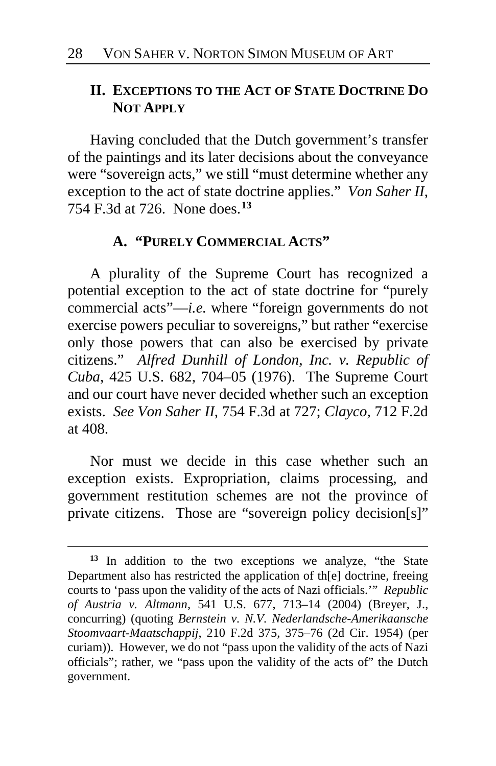# **II. EXCEPTIONS TO THE ACT OF STATE DOCTRINE DO NOT APPLY**

Having concluded that the Dutch government's transfer of the paintings and its later decisions about the conveyance were "sovereign acts," we still "must determine whether any exception to the act of state doctrine applies." *Von Saher II*, 754 F.3d at 726. None does.**[13](#page-27-0)**

## **A. "PURELY COMMERCIAL ACTS"**

A plurality of the Supreme Court has recognized a potential exception to the act of state doctrine for "purely commercial acts"—*i.e.* where "foreign governments do not exercise powers peculiar to sovereigns," but rather "exercise only those powers that can also be exercised by private citizens." *Alfred Dunhill of London, Inc. v. Republic of Cuba*, 425 U.S. 682, 704–05 (1976). The Supreme Court and our court have never decided whether such an exception exists. *See Von Saher II*, 754 F.3d at 727; *Clayco*, 712 F.2d at 408.

Nor must we decide in this case whether such an exception exists. Expropriation, claims processing, and government restitution schemes are not the province of private citizens. Those are "sovereign policy decision[s]"

<span id="page-27-0"></span>**<sup>13</sup>** In addition to the two exceptions we analyze, "the State Department also has restricted the application of th[e] doctrine, freeing courts to 'pass upon the validity of the acts of Nazi officials.'" *Republic of Austria v. Altmann*, 541 U.S. 677, 713–14 (2004) (Breyer, J., concurring) (quoting *Bernstein v. N.V. Nederlandsche-Amerikaansche Stoomvaart-Maatschappij*, 210 F.2d 375, 375–76 (2d Cir. 1954) (per curiam)). However, we do not "pass upon the validity of the acts of Nazi officials"; rather, we "pass upon the validity of the acts of" the Dutch government.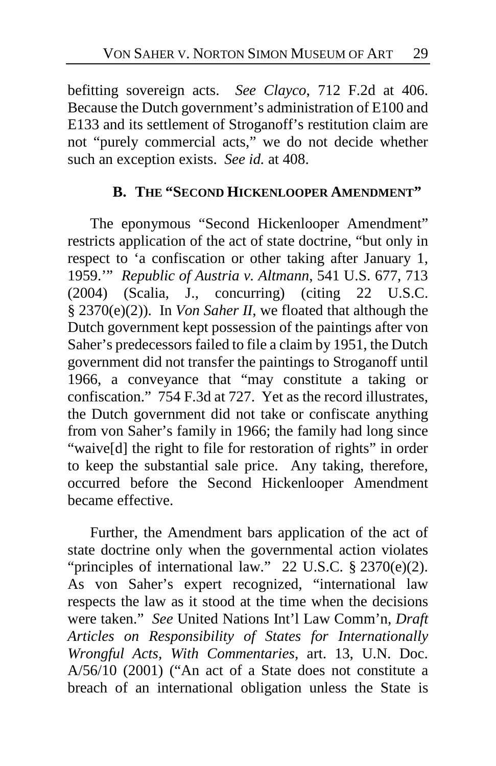befitting sovereign acts. *See Clayco*, 712 F.2d at 406. Because the Dutch government's administration of E100 and E133 and its settlement of Stroganoff's restitution claim are not "purely commercial acts," we do not decide whether such an exception exists. *See id.* at 408.

## **B. THE "SECOND HICKENLOOPER AMENDMENT"**

The eponymous "Second Hickenlooper Amendment" restricts application of the act of state doctrine, "but only in respect to 'a confiscation or other taking after January 1, 1959.'" *Republic of Austria v. Altmann*, 541 U.S. 677, 713 (2004) (Scalia, J., concurring) (citing 22 U.S.C. § 2370(e)(2)). In *Von Saher II*, we floated that although the Dutch government kept possession of the paintings after von Saher's predecessors failed to file a claim by 1951, the Dutch government did not transfer the paintings to Stroganoff until 1966, a conveyance that "may constitute a taking or confiscation." 754 F.3d at 727. Yet as the record illustrates, the Dutch government did not take or confiscate anything from von Saher's family in 1966; the family had long since "waive[d] the right to file for restoration of rights" in order to keep the substantial sale price. Any taking, therefore, occurred before the Second Hickenlooper Amendment became effective.

Further, the Amendment bars application of the act of state doctrine only when the governmental action violates "principles of international law." 22 U.S.C.  $\S$  2370(e)(2). As von Saher's expert recognized, "international law respects the law as it stood at the time when the decisions were taken." *See* United Nations Int'l Law Comm'n, *Draft Articles on Responsibility of States for Internationally Wrongful Acts, With Commentaries*, art. 13, U.N. Doc. A/56/10 (2001) ("An act of a State does not constitute a breach of an international obligation unless the State is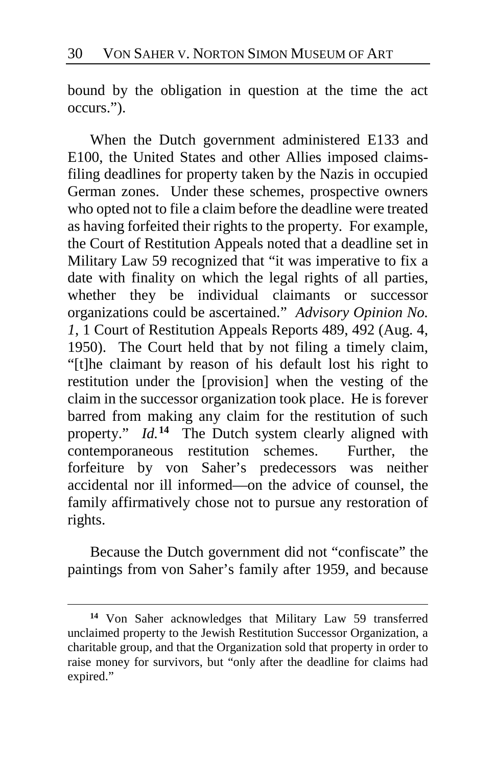bound by the obligation in question at the time the act occurs.").

When the Dutch government administered E133 and E100, the United States and other Allies imposed claimsfiling deadlines for property taken by the Nazis in occupied German zones. Under these schemes, prospective owners who opted not to file a claim before the deadline were treated as having forfeited their rights to the property. For example, the Court of Restitution Appeals noted that a deadline set in Military Law 59 recognized that "it was imperative to fix a date with finality on which the legal rights of all parties, whether they be individual claimants or successor organizations could be ascertained." *Advisory Opinion No. 1*, 1 Court of Restitution Appeals Reports 489, 492 (Aug. 4, 1950). The Court held that by not filing a timely claim, "[t]he claimant by reason of his default lost his right to restitution under the [provision] when the vesting of the claim in the successor organization took place. He is forever barred from making any claim for the restitution of such property." *Id.*<sup>[14](#page-29-0)</sup> The Dutch system clearly aligned with contemporaneous restitution schemes. Further, the forfeiture by von Saher's predecessors was neither accidental nor ill informed—on the advice of counsel, the family affirmatively chose not to pursue any restoration of rights.

Because the Dutch government did not "confiscate" the paintings from von Saher's family after 1959, and because

<span id="page-29-0"></span>**<sup>14</sup>** Von Saher acknowledges that Military Law 59 transferred unclaimed property to the Jewish Restitution Successor Organization, a charitable group, and that the Organization sold that property in order to raise money for survivors, but "only after the deadline for claims had expired."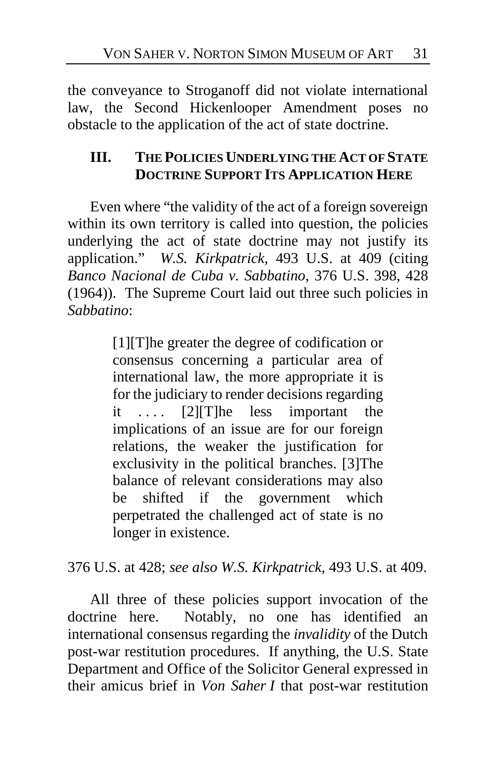the conveyance to Stroganoff did not violate international law, the Second Hickenlooper Amendment poses no obstacle to the application of the act of state doctrine.

# **III. THE POLICIES UNDERLYING THE ACT OF STATE DOCTRINE SUPPORT ITS APPLICATION HERE**

Even where "the validity of the act of a foreign sovereign within its own territory is called into question, the policies underlying the act of state doctrine may not justify its application." *W.S. Kirkpatrick*, 493 U.S. at 409 (citing *Banco Nacional de Cuba v. Sabbatino*, 376 U.S. 398, 428 (1964)). The Supreme Court laid out three such policies in *Sabbatino*:

> [1][T]he greater the degree of codification or consensus concerning a particular area of international law, the more appropriate it is for the judiciary to render decisions regarding it  $\dots$  [2] [T] he less important the implications of an issue are for our foreign relations, the weaker the justification for exclusivity in the political branches. [3]The balance of relevant considerations may also be shifted if the government which perpetrated the challenged act of state is no longer in existence.

376 U.S. at 428; *see also W.S. Kirkpatrick*, 493 U.S. at 409.

All three of these policies support invocation of the doctrine here. Notably, no one has identified an international consensus regarding the *invalidity* of the Dutch post-war restitution procedures. If anything, the U.S. State Department and Office of the Solicitor General expressed in their amicus brief in *Von Saher I* that post-war restitution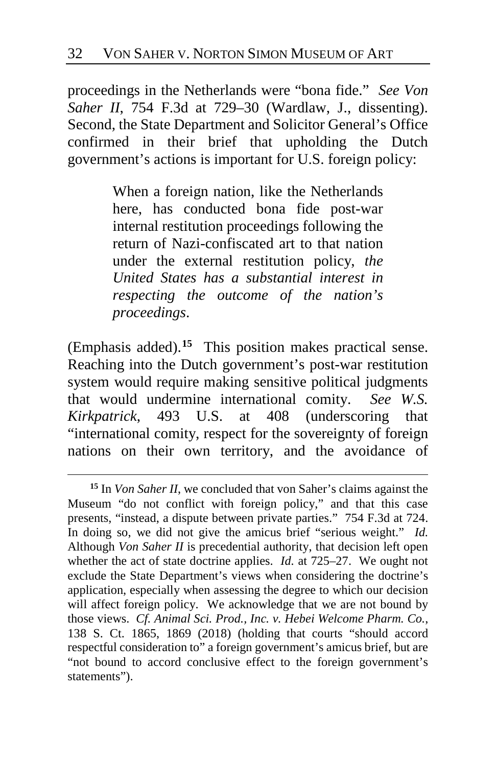proceedings in the Netherlands were "bona fide." *See Von Saher II*, 754 F.3d at 729–30 (Wardlaw, J., dissenting). Second, the State Department and Solicitor General's Office confirmed in their brief that upholding the Dutch government's actions is important for U.S. foreign policy:

> When a foreign nation, like the Netherlands here, has conducted bona fide post-war internal restitution proceedings following the return of Nazi-confiscated art to that nation under the external restitution policy, *the United States has a substantial interest in respecting the outcome of the nation's proceedings*.

(Emphasis added).**[15](#page-31-0)** This position makes practical sense. Reaching into the Dutch government's post-war restitution system would require making sensitive political judgments that would undermine international comity. *See W.S. Kirkpatrick*, 493 U.S. at 408 (underscoring that "international comity, respect for the sovereignty of foreign nations on their own territory, and the avoidance of

<span id="page-31-0"></span>**<sup>15</sup>** In *Von Saher II*, we concluded that von Saher's claims against the Museum "do not conflict with foreign policy," and that this case presents, "instead, a dispute between private parties." 754 F.3d at 724. In doing so, we did not give the amicus brief "serious weight." *Id.*  Although *Von Saher II* is precedential authority, that decision left open whether the act of state doctrine applies. *Id.* at 725–27. We ought not exclude the State Department's views when considering the doctrine's application, especially when assessing the degree to which our decision will affect foreign policy. We acknowledge that we are not bound by those views. *Cf. Animal Sci. Prod., Inc. v. Hebei Welcome Pharm. Co.*, 138 S. Ct. 1865, 1869 (2018) (holding that courts "should accord respectful consideration to" a foreign government's amicus brief, but are "not bound to accord conclusive effect to the foreign government's statements").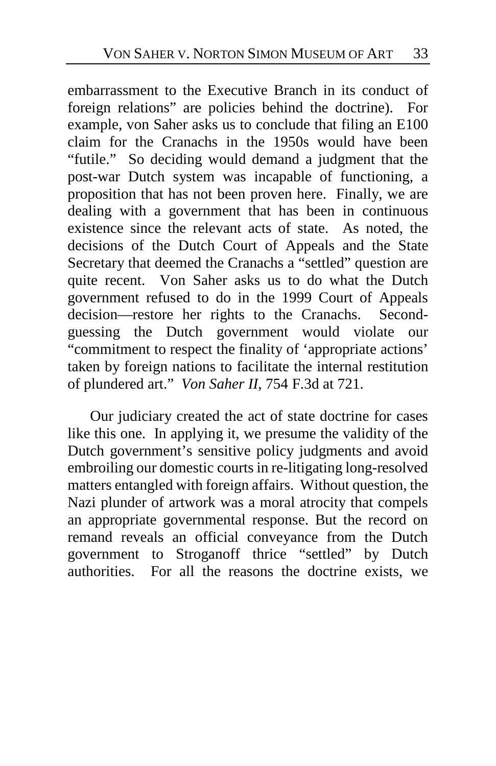embarrassment to the Executive Branch in its conduct of foreign relations" are policies behind the doctrine). For example, von Saher asks us to conclude that filing an E100 claim for the Cranachs in the 1950s would have been "futile." So deciding would demand a judgment that the post-war Dutch system was incapable of functioning, a proposition that has not been proven here. Finally, we are dealing with a government that has been in continuous existence since the relevant acts of state. As noted, the decisions of the Dutch Court of Appeals and the State Secretary that deemed the Cranachs a "settled" question are quite recent. Von Saher asks us to do what the Dutch government refused to do in the 1999 Court of Appeals decision—restore her rights to the Cranachs. Secondguessing the Dutch government would violate our "commitment to respect the finality of 'appropriate actions' taken by foreign nations to facilitate the internal restitution of plundered art." *Von Saher II*, 754 F.3d at 721.

Our judiciary created the act of state doctrine for cases like this one. In applying it, we presume the validity of the Dutch government's sensitive policy judgments and avoid embroiling our domestic courts in re-litigating long-resolved matters entangled with foreign affairs. Without question, the Nazi plunder of artwork was a moral atrocity that compels an appropriate governmental response. But the record on remand reveals an official conveyance from the Dutch government to Stroganoff thrice "settled" by Dutch authorities. For all the reasons the doctrine exists, we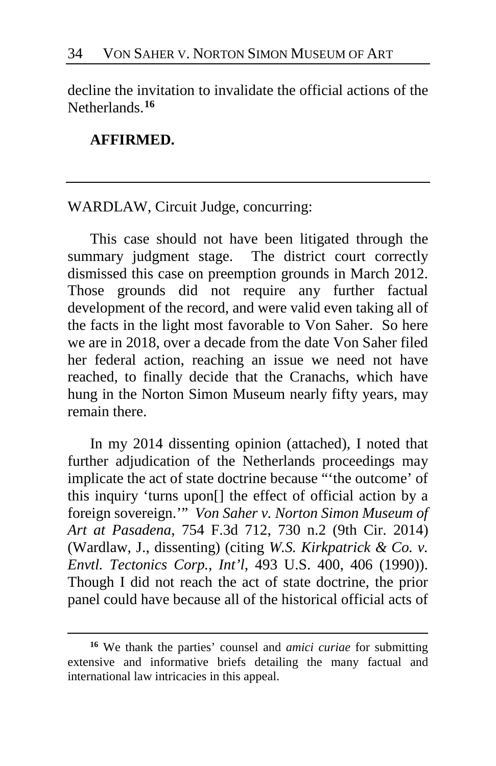decline the invitation to invalidate the official actions of the Netherlands.**[16](#page-33-0)**

## **AFFIRMED.**

 $\overline{a}$ 

## WARDLAW, Circuit Judge, concurring:

This case should not have been litigated through the summary judgment stage. The district court correctly dismissed this case on preemption grounds in March 2012. Those grounds did not require any further factual development of the record, and were valid even taking all of the facts in the light most favorable to Von Saher. So here we are in 2018, over a decade from the date Von Saher filed her federal action, reaching an issue we need not have reached, to finally decide that the Cranachs, which have hung in the Norton Simon Museum nearly fifty years, may remain there.

In my 2014 dissenting opinion (attached), I noted that further adjudication of the Netherlands proceedings may implicate the act of state doctrine because "'the outcome' of this inquiry 'turns upon[] the effect of official action by a foreign sovereign.'" *Von Saher v. Norton Simon Museum of Art at Pasadena*, 754 F.3d 712, 730 n.2 (9th Cir. 2014) (Wardlaw, J., dissenting) (citing *W.S. Kirkpatrick & Co. v. Envtl. Tectonics Corp., Int'l*, 493 U.S. 400, 406 (1990)). Though I did not reach the act of state doctrine, the prior panel could have because all of the historical official acts of

<span id="page-33-0"></span>**<sup>16</sup>** We thank the parties' counsel and *amici curiae* for submitting extensive and informative briefs detailing the many factual and international law intricacies in this appeal.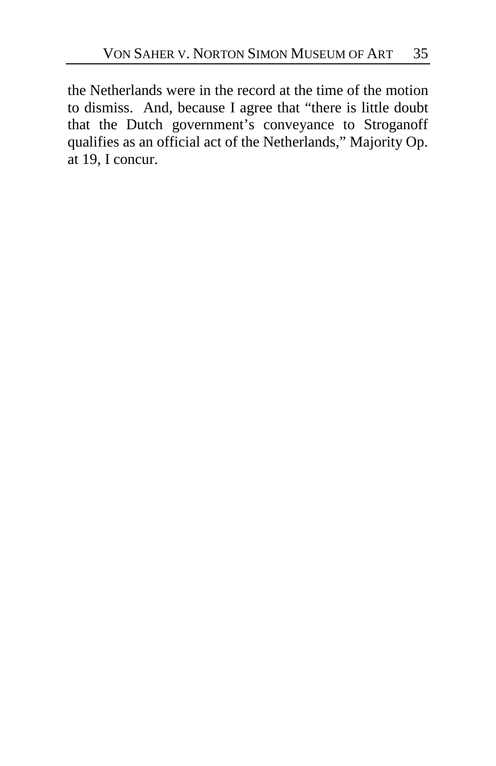the Netherlands were in the record at the time of the motion to dismiss. And, because I agree that "there is little doubt that the Dutch government's conveyance to Stroganoff qualifies as an official act of the Netherlands," Majority Op. at [19,](#page-18-2) I concur.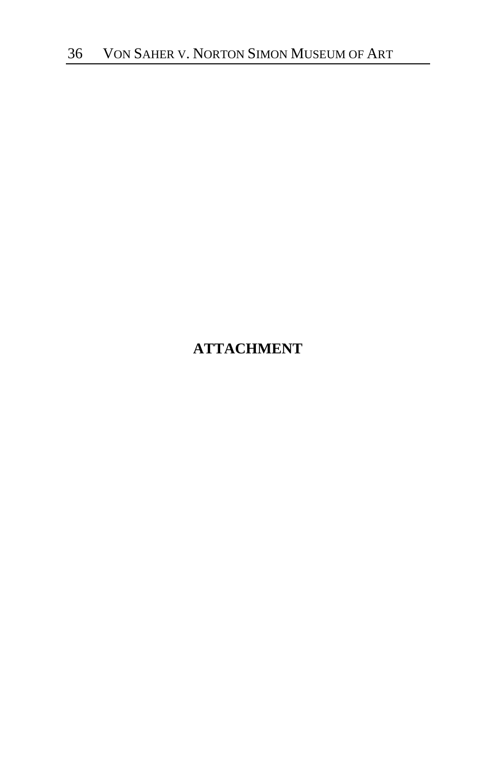# **ATTACHMENT**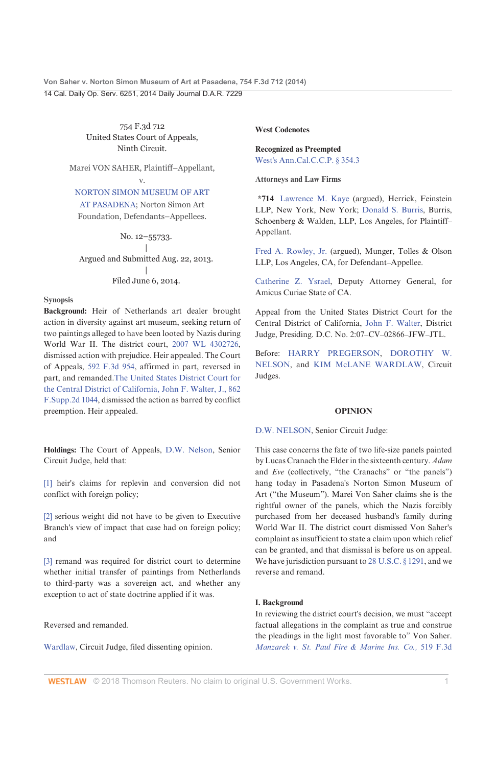Von Saher v. Norton Simon Museum of Art at Pasadena, 754 F.3d 712 (2014) 14 Cal. Daily Op. Serv. 6251, 2014 Daily Journal D.A.R. 7229

> 754 F.3d 712 United States Court of Appeals, Ninth Circuit.

Marei VON SAHER, Plaintiff-Appellant,  $\mathbf{v}$ 

NORTON SIMON MUSEUM OF ART

AT PASADENA: Norton Simon Art Foundation, Defendants-Appellees.

No. 12-55733. Argued and Submitted Aug. 22, 2013. Filed June 6, 2014.

### **Synopsis**

Background: Heir of Netherlands art dealer brought action in diversity against art museum, seeking return of two paintings alleged to have been looted by Nazis during World War II. The district court, 2007 WL 4302726, dismissed action with prejudice. Heir appealed. The Court of Appeals, 592 F.3d 954, affirmed in part, reversed in part, and remanded. The United States District Court for the Central District of California, John F. Walter, J., 862 F.Supp.2d 1044, dismissed the action as barred by conflict preemption. Heir appealed.

Holdings: The Court of Appeals, D.W. Nelson, Senior Circuit Judge, held that:

[1] heir's claims for replevin and conversion did not conflict with foreign policy;

[2] serious weight did not have to be given to Executive Branch's view of impact that case had on foreign policy; and

[3] remand was required for district court to determine whether initial transfer of paintings from Netherlands to third-party was a sovereign act, and whether any exception to act of state doctrine applied if it was.

Reversed and remanded.

Wardlaw, Circuit Judge, filed dissenting opinion.

### **West Codenotes**

**Recognized as Preempted** West's Ann.Cal.C.C.P. § 354.3

**Attorneys and Law Firms** 

\*714 Lawrence M. Kaye (argued), Herrick, Feinstein LLP, New York, New York; Donald S. Burris, Burris, Schoenberg & Walden, LLP, Los Angeles, for Plaintiff-Appellant.

Fred A. Rowley, Jr. (argued), Munger, Tolles & Olson LLP, Los Angeles, CA, for Defendant-Appellee.

Catherine Z. Ysrael, Deputy Attorney General, for Amicus Curiae State of CA.

Appeal from the United States District Court for the Central District of California, John F. Walter, District Judge, Presiding. D.C. No. 2:07-CV-02866-JFW-JTL.

Before: HARRY PREGERSON, DOROTHY W. NELSON, and KIM McLANE WARDLAW, Circuit Judges.

### **OPINION**

D.W. NELSON, Senior Circuit Judge:

This case concerns the fate of two life-size panels painted by Lucas Cranach the Elder in the sixteenth century. Adam and Eve (collectively, "the Cranachs" or "the panels") hang today in Pasadena's Norton Simon Museum of Art ("the Museum"). Marei Von Saher claims she is the rightful owner of the panels, which the Nazis forcibly purchased from her deceased husband's family during World War II. The district court dismissed Von Saher's complaint as insufficient to state a claim upon which relief can be granted, and that dismissal is before us on appeal. We have jurisdiction pursuant to 28 U.S.C. § 1291, and we reverse and remand.

### I. Background

In reviewing the district court's decision, we must "accept factual allegations in the complaint as true and construe the pleadings in the light most favorable to" Von Saher. Manzarek v. St. Paul Fire & Marine Ins. Co., 519 F.3d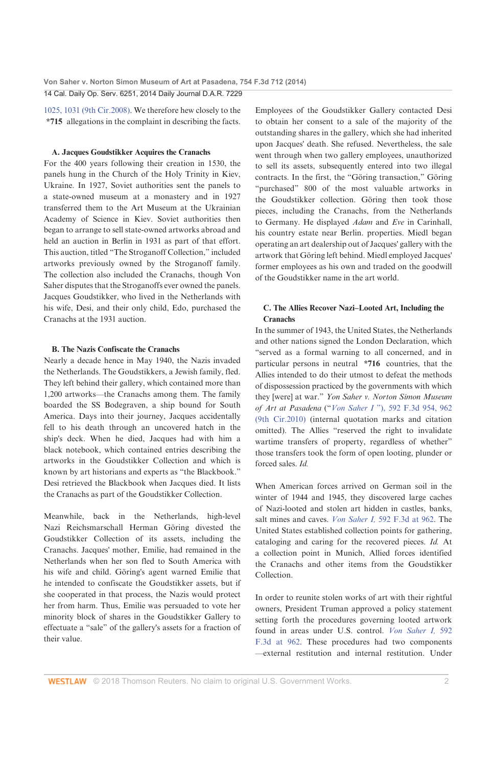1025, 1031 (9th Cir.2008). We therefore hew closely to the \*715 allegations in the complaint in describing the facts.

### A. Jacques Goudstikker Acquires the Cranachs

For the 400 years following their creation in 1530, the panels hung in the Church of the Holy Trinity in Kiev, Ukraine. In 1927, Soviet authorities sent the panels to a state-owned museum at a monastery and in 1927 transferred them to the Art Museum at the Ukrainian Academy of Science in Kiev. Soviet authorities then began to arrange to sell state-owned artworks abroad and held an auction in Berlin in 1931 as part of that effort. This auction, titled "The Stroganoff Collection," included artworks previously owned by the Stroganoff family. The collection also included the Cranachs, though Von Saher disputes that the Stroganoffs ever owned the panels. Jacques Goudstikker, who lived in the Netherlands with his wife, Desi, and their only child, Edo, purchased the Cranachs at the 1931 auction.

### **B.** The Nazis Confiscate the Cranachs

Nearly a decade hence in May 1940, the Nazis invaded the Netherlands. The Goudstikkers, a Jewish family, fled. They left behind their gallery, which contained more than 1,200 artworks-the Cranachs among them. The family boarded the SS Bodegraven, a ship bound for South America. Days into their journey, Jacques accidentally fell to his death through an uncovered hatch in the ship's deck. When he died, Jacques had with him a black notebook, which contained entries describing the artworks in the Goudstikker Collection and which is known by art historians and experts as "the Blackbook." Desi retrieved the Blackbook when Jacques died. It lists the Cranachs as part of the Goudstikker Collection.

Meanwhile, back in the Netherlands, high-level Nazi Reichsmarschall Herman Göring divested the Goudstikker Collection of its assets, including the Cranachs. Jacques' mother, Emilie, had remained in the Netherlands when her son fled to South America with his wife and child. Göring's agent warned Emilie that he intended to confiscate the Goudstikker assets, but if she cooperated in that process, the Nazis would protect her from harm. Thus, Emilie was persuaded to vote her minority block of shares in the Goudstikker Gallery to effectuate a "sale" of the gallery's assets for a fraction of their value.

Employees of the Goudstikker Gallery contacted Desi to obtain her consent to a sale of the majority of the outstanding shares in the gallery, which she had inherited upon Jacques' death. She refused. Nevertheless, the sale went through when two gallery employees, unauthorized to sell its assets, subsequently entered into two illegal contracts. In the first, the "Göring transaction," Göring "purchased" 800 of the most valuable artworks in the Goudstikker collection. Göring then took those pieces, including the Cranachs, from the Netherlands to Germany. He displayed Adam and Eve in Carinhall, his country estate near Berlin. properties. Miedl began operating an art dealership out of Jacques' gallery with the artwork that Göring left behind. Miedl employed Jacques' former employees as his own and traded on the goodwill of the Goudstikker name in the art world.

### C. The Allies Recover Nazi-Looted Art, Including the Cranachs

In the summer of 1943, the United States, the Netherlands and other nations signed the London Declaration, which "served as a formal warning to all concerned, and in particular persons in neutral \*716 countries, that the Allies intended to do their utmost to defeat the methods of dispossession practiced by the governments with which they [were] at war." Yon Saher v. Norton Simon Museum of Art at Pasadena ("Von Saher I"), 592 F.3d 954, 962 (9th Cir.2010) (internal quotation marks and citation omitted). The Allies "reserved the right to invalidate wartime transfers of property, regardless of whether" those transfers took the form of open looting, plunder or forced sales  $Id$ 

When American forces arrived on German soil in the winter of 1944 and 1945, they discovered large caches of Nazi-looted and stolen art hidden in castles, banks, salt mines and caves. *Von Saher I*, 592 F.3d at 962. The United States established collection points for gathering, cataloging and caring for the recovered pieces. Id. At a collection point in Munich, Allied forces identified the Cranachs and other items from the Goudstikker Collection.

In order to reunite stolen works of art with their rightful owners, President Truman approved a policy statement setting forth the procedures governing looted artwork found in areas under U.S. control. Von Saher I. 592 F.3d at 962. These procedures had two components -external restitution and internal restitution. Under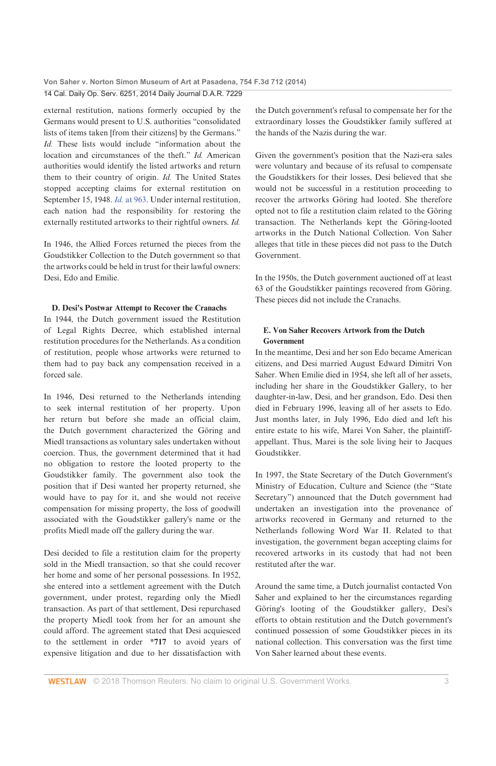external restitution, nations formerly occupied by the Germans would present to U.S. authorities "consolidated lists of items taken [from their citizens] by the Germans." Id. These lists would include "information about the location and circumstances of the theft." Id. American authorities would identify the listed artworks and return them to their country of origin. Id. The United States stopped accepting claims for external restitution on September 15, 1948. Id. at 963. Under internal restitution, each nation had the responsibility for restoring the externally restituted artworks to their rightful owners. Id.

In 1946, the Allied Forces returned the pieces from the Goudstikker Collection to the Dutch government so that the artworks could be held in trust for their lawful owners: Desi. Edo and Emilie.

### D. Desi's Postwar Attempt to Recover the Cranachs

In 1944, the Dutch government issued the Restitution of Legal Rights Decree, which established internal restitution procedures for the Netherlands. As a condition of restitution, people whose artworks were returned to them had to pay back any compensation received in a forced sale.

In 1946, Desi returned to the Netherlands intending to seek internal restitution of her property. Upon her return but before she made an official claim, the Dutch government characterized the Göring and Miedl transactions as voluntary sales undertaken without coercion. Thus, the government determined that it had no obligation to restore the looted property to the Goudstikker family. The government also took the position that if Desi wanted her property returned, she would have to pay for it, and she would not receive compensation for missing property, the loss of goodwill associated with the Goudstikker gallery's name or the profits Miedl made off the gallery during the war.

Desi decided to file a restitution claim for the property sold in the Miedl transaction, so that she could recover her home and some of her personal possessions. In 1952, she entered into a settlement agreement with the Dutch government, under protest, regarding only the Miedl transaction. As part of that settlement, Desi repurchased the property Miedl took from her for an amount she could afford. The agreement stated that Desi acquiesced to the settlement in order \*717 to avoid years of expensive litigation and due to her dissatisfaction with the Dutch government's refusal to compensate her for the extraordinary losses the Goudstikker family suffered at the hands of the Nazis during the war.

Given the government's position that the Nazi-era sales were voluntary and because of its refusal to compensate the Goudstikkers for their losses, Desi believed that she would not be successful in a restitution proceeding to recover the artworks Göring had looted. She therefore opted not to file a restitution claim related to the Göring transaction. The Netherlands kept the Göring-looted artworks in the Dutch National Collection. Von Saher alleges that title in these pieces did not pass to the Dutch Government.

In the 1950s, the Dutch government auctioned off at least 63 of the Goudstikker paintings recovered from Göring. These pieces did not include the Cranachs.

### E. Von Saber Recovers Artwork from the Dutch Government

In the meantime. Desi and her son Edo became American citizens, and Desi married August Edward Dimitri Von Saher. When Emilie died in 1954, she left all of her assets, including her share in the Goudstikker Gallery, to her daughter-in-law, Desi, and her grandson, Edo. Desi then died in February 1996, leaving all of her assets to Edo. Just months later, in July 1996, Edo died and left his entire estate to his wife, Marei Von Saher, the plaintiffappellant. Thus, Marei is the sole living heir to Jacques Goudstikker.

In 1997, the State Secretary of the Dutch Government's Ministry of Education, Culture and Science (the "State Secretary") announced that the Dutch government had undertaken an investigation into the provenance of artworks recovered in Germany and returned to the Netherlands following Word War II. Related to that investigation, the government began accepting claims for recovered artworks in its custody that had not been restituted after the war.

Around the same time, a Dutch journalist contacted Von Saher and explained to her the circumstances regarding Göring's looting of the Goudstikker gallery, Desi's efforts to obtain restitution and the Dutch government's continued possession of some Goudstikker pieces in its national collection. This conversation was the first time Von Saher learned about these events.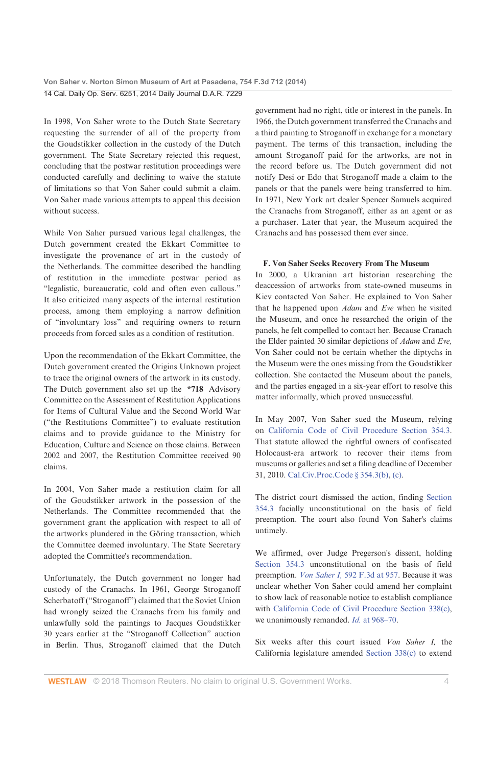In 1998, Von Saher wrote to the Dutch State Secretary requesting the surrender of all of the property from the Goudstikker collection in the custody of the Dutch government. The State Secretary rejected this request, concluding that the postwar restitution proceedings were conducted carefully and declining to waive the statute of limitations so that Von Saher could submit a claim. Von Saher made various attempts to appeal this decision without success.

While Von Saher pursued various legal challenges, the Dutch government created the Ekkart Committee to investigate the provenance of art in the custody of the Netherlands. The committee described the handling of restitution in the immediate postwar period as "legalistic, bureaucratic, cold and often even callous." It also criticized many aspects of the internal restitution process, among them employing a narrow definition of "involuntary loss" and requiring owners to return proceeds from forced sales as a condition of restitution.

Upon the recommendation of the Ekkart Committee, the Dutch government created the Origins Unknown project to trace the original owners of the artwork in its custody. The Dutch government also set up the \*718 Advisory Committee on the Assessment of Restitution Applications for Items of Cultural Value and the Second World War ("the Restitutions Committee") to evaluate restitution claims and to provide guidance to the Ministry for Education, Culture and Science on those claims. Between 2002 and 2007, the Restitution Committee received 90 claims

In 2004, Von Saher made a restitution claim for all of the Goudstikker artwork in the possession of the Netherlands. The Committee recommended that the government grant the application with respect to all of the artworks plundered in the Göring transaction, which the Committee deemed involuntary. The State Secretary adopted the Committee's recommendation.

Unfortunately, the Dutch government no longer had custody of the Cranachs. In 1961, George Stroganoff Scherbatoff ("Stroganoff") claimed that the Soviet Union had wrongly seized the Cranachs from his family and unlawfully sold the paintings to Jacques Goudstikker 30 years earlier at the "Stroganoff Collection" auction in Berlin. Thus, Stroganoff claimed that the Dutch

government had no right, title or interest in the panels. In 1966, the Dutch government transferred the Cranachs and a third painting to Stroganoff in exchange for a monetary payment. The terms of this transaction, including the amount Stroganoff paid for the artworks, are not in the record before us. The Dutch government did not notify Desi or Edo that Stroganoff made a claim to the panels or that the panels were being transferred to him. In 1971, New York art dealer Spencer Samuels acquired the Cranachs from Stroganoff, either as an agent or as a purchaser. Later that year, the Museum acquired the Cranachs and has possessed them ever since.

### F. Von Saher Seeks Recovery From The Museum

In 2000, a Ukranian art historian researching the deaccession of artworks from state-owned museums in Kiev contacted Von Saher. He explained to Von Saher that he happened upon Adam and Eve when he visited the Museum, and once he researched the origin of the panels, he felt compelled to contact her. Because Cranach the Elder painted 30 similar depictions of Adam and Eve, Von Saher could not be certain whether the diptychs in the Museum were the ones missing from the Goudstikker collection. She contacted the Museum about the panels, and the parties engaged in a six-year effort to resolve this matter informally, which proved unsuccessful.

In May 2007, Von Saher sued the Museum, relying on California Code of Civil Procedure Section 354.3. That statute allowed the rightful owners of confiscated Holocaust-era artwork to recover their items from museums or galleries and set a filing deadline of December 31, 2010. Cal.Civ.Proc.Code § 354.3(b), (c).

The district court dismissed the action, finding Section 354.3 facially unconstitutional on the basis of field preemption. The court also found Von Saher's claims untimely.

We affirmed, over Judge Pregerson's dissent, holding Section 354.3 unconstitutional on the basis of field preemption. Von Saher I, 592 F.3d at 957. Because it was unclear whether Von Saher could amend her complaint to show lack of reasonable notice to establish compliance with California Code of Civil Procedure Section 338(c), we unanimously remanded. Id. at 968-70.

Six weeks after this court issued Von Saher I, the California legislature amended Section 338(c) to extend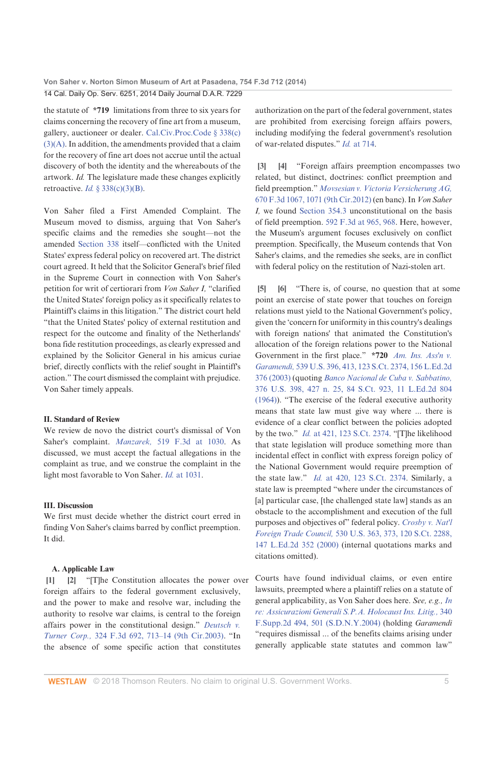the statute of  $*719$  limitations from three to six years for claims concerning the recovery of fine art from a museum, gallery, auctioneer or dealer. Cal.Civ.Proc.Code § 338(c)  $(3)(A)$ . In addition, the amendments provided that a claim for the recovery of fine art does not accrue until the actual discovery of both the identity and the whereabouts of the artwork. Id. The legislature made these changes explicitly retroactive. *Id.* § 338(c)(3)(B).

Von Saher filed a First Amended Complaint. The Museum moved to dismiss, arguing that Von Saher's specific claims and the remedies she sought-not the amended Section 338 itself-conflicted with the United States' express federal policy on recovered art. The district court agreed. It held that the Solicitor General's brief filed in the Supreme Court in connection with Von Saher's petition for writ of certiorari from Von Saher I, "clarified the United States' foreign policy as it specifically relates to Plaintiff's claims in this litigation." The district court held "that the United States' policy of external restitution and respect for the outcome and finality of the Netherlands' bona fide restitution proceedings, as clearly expressed and explained by the Solicitor General in his amicus curiae brief, directly conflicts with the relief sought in Plaintiff's action." The court dismissed the complaint with prejudice. Von Saher timely appeals.

### **II. Standard of Review**

We review de novo the district court's dismissal of Von Saher's complaint. Manzarek, 519 F.3d at 1030. As discussed, we must accept the factual allegations in the complaint as true, and we construe the complaint in the light most favorable to Von Saher. Id. at 1031.

#### **III** Disenssion

We first must decide whether the district court erred in finding Von Saher's claims barred by conflict preemption. It did.

### A. Applicable Law

 $\vert 1 \vert$ [2] "The Constitution allocates the power over foreign affairs to the federal government exclusively, and the power to make and resolve war, including the authority to resolve war claims, is central to the foreign affairs power in the constitutional design." Deutsch v. Turner Corp., 324 F.3d 692, 713-14 (9th Cir.2003). "In the absence of some specific action that constitutes

authorization on the part of the federal government, states are prohibited from exercising foreign affairs powers, including modifying the federal government's resolution of war-related disputes." Id. at 714.

 $|3|$ [4] "Foreign affairs preemption encompasses two related, but distinct, doctrines: conflict preemption and field preemption." Movsesian v. Victoria Versicherung AG, 670 F.3d 1067, 1071 (9th Cir.2012) (en banc). In Von Saher I, we found Section 354.3 unconstitutional on the basis of field preemption. 592 F.3d at 965, 968. Here, however, the Museum's argument focuses exclusively on conflict preemption. Specifically, the Museum contends that Von Saher's claims, and the remedies she seeks, are in conflict with federal policy on the restitution of Nazi-stolen art.

[5] [6] "There is, of course, no question that at some point an exercise of state power that touches on foreign relations must yield to the National Government's policy, given the 'concern for uniformity in this country's dealings with foreign nations' that animated the Constitution's allocation of the foreign relations power to the National Government in the first place." \*720 Am. Ins. Ass'n v. Garamendi, 539 U.S. 396, 413, 123 S.Ct. 2374, 156 L.Ed.2d 376 (2003) (quoting Banco Nacional de Cuba v. Sabbatino, 376 U.S. 398, 427 n. 25, 84 S.Ct. 923, 11 L.Ed.2d 804 (1964)). "The exercise of the federal executive authority means that state law must give way where ... there is evidence of a clear conflict between the policies adopted by the two." Id. at 421, 123 S.Ct. 2374. "[T]he likelihood that state legislation will produce something more than incidental effect in conflict with express foreign policy of the National Government would require preemption of the state law." *Id.* at 420, 123 S.Ct. 2374. Similarly, a state law is preempted "where under the circumstances of [a] particular case, [the challenged state law] stands as an obstacle to the accomplishment and execution of the full purposes and objectives of" federal policy. Crosby v. Nat'l Foreign Trade Council, 530 U.S. 363, 373, 120 S.Ct. 2288, 147 L.Ed.2d 352 (2000) (internal quotations marks and citations omitted).

Courts have found individual claims, or even entire lawsuits, preempted where a plaintiff relies on a statute of general applicability, as Von Saher does here. See, e.g., In re: Assicurazioni Generali S.P.A. Holocaust Ins. Litig., 340 F.Supp.2d 494, 501 (S.D.N.Y.2004) (holding Garamendi "requires dismissal ... of the benefits claims arising under generally applicable state statutes and common law"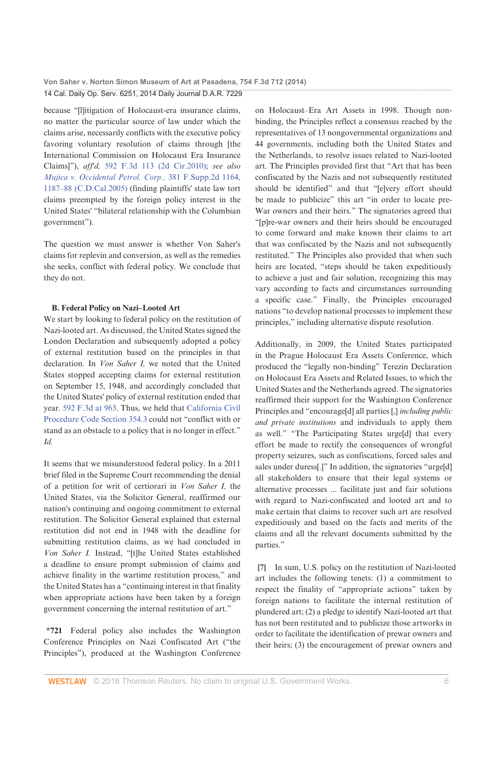because "[l]itigation of Holocaust-era insurance claims, no matter the particular source of law under which the claims arise, necessarily conflicts with the executive policy favoring voluntary resolution of claims through [the International Commission on Holocaust Era Insurance Claims]"), aff'd, 592 F.3d 113 (2d Cir.2010); see also Mujica v. Occidental Petrol. Corp., 381 F.Supp.2d 1164, 1187-88 (C.D.Cal.2005) (finding plaintiffs' state law tort claims preempted by the foreign policy interest in the United States' "bilateral relationship with the Columbian government").

The question we must answer is whether Von Saher's claims for replevin and conversion, as well as the remedies she seeks, conflict with federal policy. We conclude that they do not.

### **B. Federal Policy on Nazi-Looted Art**

We start by looking to federal policy on the restitution of Nazi-looted art. As discussed, the United States signed the London Declaration and subsequently adopted a policy of external restitution based on the principles in that declaration. In Von Saher I, we noted that the United States stopped accepting claims for external restitution on September 15, 1948, and accordingly concluded that the United States' policy of external restitution ended that year. 592 F.3d at 963. Thus, we held that California Civil Procedure Code Section 354.3 could not "conflict with or stand as an obstacle to a policy that is no longer in effect."  $Id$ 

It seems that we misunderstood federal policy. In a 2011 brief filed in the Supreme Court recommending the denial of a petition for writ of certiorari in Von Saher I, the United States, via the Solicitor General, reaffirmed our nation's continuing and ongoing commitment to external restitution. The Solicitor General explained that external restitution did not end in 1948 with the deadline for submitting restitution claims, as we had concluded in Von Saher I. Instead, "[t]he United States established a deadline to ensure prompt submission of claims and achieve finality in the wartime restitution process," and the United States has a "continuing interest in that finality when appropriate actions have been taken by a foreign government concerning the internal restitution of art."

\*721 Federal policy also includes the Washington Conference Principles on Nazi Confiscated Art ("the Principles"), produced at the Washington Conference

on Holocaust-Era Art Assets in 1998. Though nonbinding, the Principles reflect a consensus reached by the representatives of 13 nongovernmental organizations and 44 governments, including both the United States and the Netherlands, to resolve issues related to Nazi-looted art. The Principles provided first that "Art that has been confiscated by the Nazis and not subsequently restituted should be identified" and that "[e]very effort should be made to publicize" this art "in order to locate pre-War owners and their heirs." The signatories agreed that "[p]re-war owners and their heirs should be encouraged to come forward and make known their claims to art that was confiscated by the Nazis and not subsequently restituted." The Principles also provided that when such heirs are located, "steps should be taken expeditiously to achieve a just and fair solution, recognizing this may vary according to facts and circumstances surrounding a specific case." Finally, the Principles encouraged nations "to develop national processes to implement these principles," including alternative dispute resolution.

Additionally, in 2009, the United States participated in the Prague Holocaust Era Assets Conference, which produced the "legally non-binding" Terezin Declaration on Holocaust Era Assets and Related Issues, to which the United States and the Netherlands agreed. The signatories reaffirmed their support for the Washington Conference Principles and "encourage[d] all parties [,] including public and private institutions and individuals to apply them as well." "The Participating States urge[d] that every effort be made to rectify the consequences of wrongful property seizures, such as confiscations, forced sales and sales under duress[.]" In addition, the signatories "urge[d] all stakeholders to ensure that their legal systems or alternative processes ... facilitate just and fair solutions with regard to Nazi-confiscated and looted art and to make certain that claims to recover such art are resolved expeditiously and based on the facts and merits of the claims and all the relevant documents submitted by the parties."

[7] In sum, U.S. policy on the restitution of Nazi-looted art includes the following tenets: (1) a commitment to respect the finality of "appropriate actions" taken by foreign nations to facilitate the internal restitution of plundered art; (2) a pledge to identify Nazi-looted art that has not been restituted and to publicize those artworks in order to facilitate the identification of prewar owners and their heirs; (3) the encouragement of prewar owners and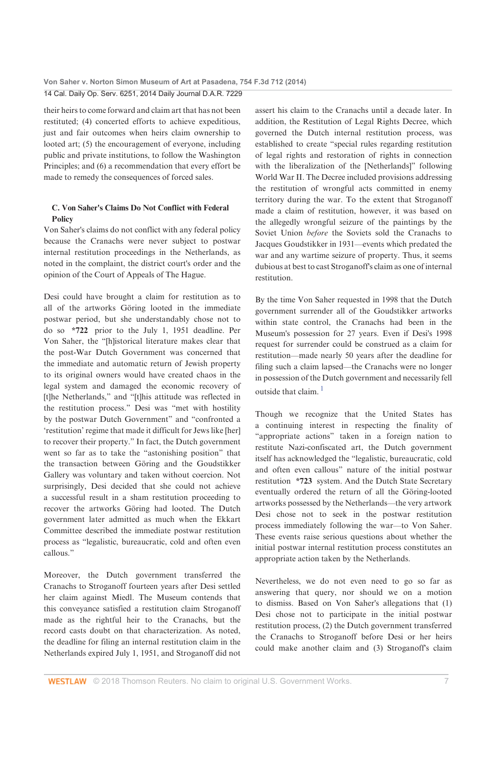their heirs to come forward and claim art that has not been restituted; (4) concerted efforts to achieve expeditious, just and fair outcomes when heirs claim ownership to looted art; (5) the encouragement of everyone, including public and private institutions, to follow the Washington Principles; and (6) a recommendation that every effort be made to remedy the consequences of forced sales.

### C. Von Saher's Claims Do Not Conflict with Federal Policy

Von Saher's claims do not conflict with any federal policy because the Cranachs were never subject to postwar internal restitution proceedings in the Netherlands, as noted in the complaint, the district court's order and the opinion of the Court of Appeals of The Hague.

Desi could have brought a claim for restitution as to all of the artworks Göring looted in the immediate postwar period, but she understandably chose not to do so \*722 prior to the July 1, 1951 deadline. Per Von Saher, the "[h]istorical literature makes clear that the post-War Dutch Government was concerned that the immediate and automatic return of Jewish property to its original owners would have created chaos in the legal system and damaged the economic recovery of [t]he Netherlands," and "[t]his attitude was reflected in the restitution process." Desi was "met with hostility by the postwar Dutch Government" and "confronted a 'restitution' regime that made it difficult for Jews like [her] to recover their property." In fact, the Dutch government went so far as to take the "astonishing position" that the transaction between Göring and the Goudstikker Gallery was voluntary and taken without coercion. Not surprisingly, Desi decided that she could not achieve a successful result in a sham restitution proceeding to recover the artworks Göring had looted. The Dutch government later admitted as much when the Ekkart Committee described the immediate postwar restitution process as "legalistic, bureaucratic, cold and often even callous"

Moreover, the Dutch government transferred the Cranachs to Stroganoff fourteen years after Desi settled her claim against Miedl. The Museum contends that this conveyance satisfied a restitution claim Stroganoff made as the rightful heir to the Cranachs, but the record casts doubt on that characterization. As noted, the deadline for filing an internal restitution claim in the Netherlands expired July 1, 1951, and Stroganoff did not

assert his claim to the Cranachs until a decade later. In addition, the Restitution of Legal Rights Decree, which governed the Dutch internal restitution process, was established to create "special rules regarding restitution of legal rights and restoration of rights in connection with the liberalization of the [Netherlands]" following World War II. The Decree included provisions addressing the restitution of wrongful acts committed in enemy territory during the war. To the extent that Stroganoff made a claim of restitution, however, it was based on the allegedly wrongful seizure of the paintings by the Soviet Union before the Soviets sold the Cranachs to Jacques Goudstikker in 1931—events which predated the war and any wartime seizure of property. Thus, it seems dubious at best to cast Stroganoff's claim as one of internal restitution.

By the time Von Saher requested in 1998 that the Dutch government surrender all of the Goudstikker artworks within state control, the Cranachs had been in the Museum's possession for 27 years. Even if Desi's 1998 request for surrender could be construed as a claim for restitution-made nearly 50 years after the deadline for filing such a claim lapsed-the Cranachs were no longer in possession of the Dutch government and necessarily fell outside that claim.<sup>1</sup>

Though we recognize that the United States has a continuing interest in respecting the finality of "appropriate actions" taken in a foreign nation to restitute Nazi-confiscated art, the Dutch government itself has acknowledged the "legalistic, bureaucratic, cold and often even callous" nature of the initial postwar restitution \*723 system. And the Dutch State Secretary eventually ordered the return of all the Göring-looted artworks possessed by the Netherlands-the very artwork Desi chose not to seek in the postwar restitution process immediately following the war-to Von Saher. These events raise serious questions about whether the initial postwar internal restitution process constitutes an appropriate action taken by the Netherlands.

Nevertheless, we do not even need to go so far as answering that query, nor should we on a motion to dismiss. Based on Von Saher's allegations that (1) Desi chose not to participate in the initial postwar restitution process, (2) the Dutch government transferred the Cranachs to Stroganoff before Desi or her heirs could make another claim and (3) Stroganoff's claim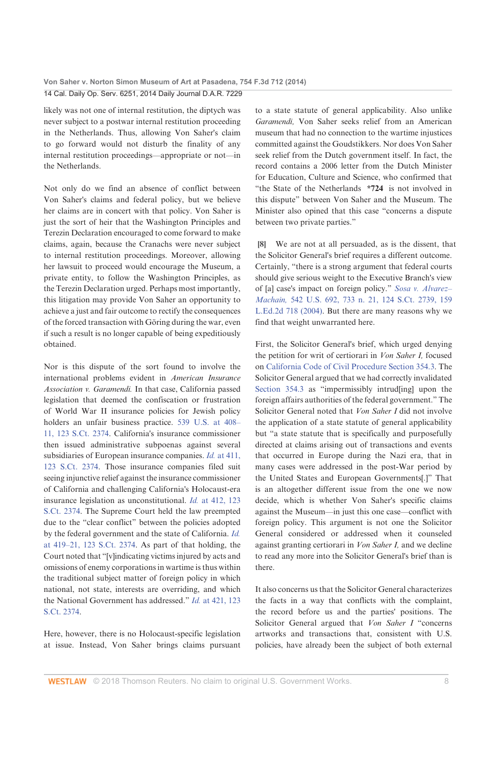likely was not one of internal restitution, the diptych was never subject to a postwar internal restitution proceeding in the Netherlands. Thus, allowing Von Saher's claim to go forward would not disturb the finality of any internal restitution proceedings-appropriate or not-in the Netherlands.

Not only do we find an absence of conflict between Von Saher's claims and federal policy, but we believe her claims are in concert with that policy. Von Saher is just the sort of heir that the Washington Principles and Terezin Declaration encouraged to come forward to make claims, again, because the Cranachs were never subject to internal restitution proceedings. Moreover, allowing her lawsuit to proceed would encourage the Museum, a private entity, to follow the Washington Principles, as the Terezin Declaration urged. Perhaps most importantly, this litigation may provide Von Saher an opportunity to achieve a just and fair outcome to rectify the consequences of the forced transaction with Göring during the war, even if such a result is no longer capable of being expeditiously obtained.

Nor is this dispute of the sort found to involve the international problems evident in American Insurance Association v. Garamendi. In that case, California passed legislation that deemed the confiscation or frustration of World War II insurance policies for Jewish policy holders an unfair business practice. 539 U.S. at 408-11, 123 S.Ct. 2374. California's insurance commissioner then issued administrative subpoenas against several subsidiaries of European insurance companies. Id. at 411, 123 S.Ct. 2374. Those insurance companies filed suit seeing injunctive relief against the insurance commissioner of California and challenging California's Holocaust-era insurance legislation as unconstitutional. Id. at 412, 123 S.Ct. 2374. The Supreme Court held the law preempted due to the "clear conflict" between the policies adopted by the federal government and the state of California. Id. at 419-21, 123 S.Ct. 2374. As part of that holding, the Court noted that "[v]indicating victims injured by acts and omissions of enemy corporations in wartime is thus within the traditional subject matter of foreign policy in which national, not state, interests are overriding, and which the National Government has addressed." Id. at 421, 123 S.Ct. 2374.

Here, however, there is no Holocaust-specific legislation at issue. Instead, Von Saher brings claims pursuant to a state statute of general applicability. Also unlike Garamendi, Von Saher seeks relief from an American museum that had no connection to the wartime injustices committed against the Goudstikkers. Nor does Von Saher seek relief from the Dutch government itself. In fact, the record contains a 2006 letter from the Dutch Minister for Education, Culture and Science, who confirmed that "the State of the Netherlands \*724 is not involved in this dispute" between Von Saher and the Museum. The Minister also opined that this case "concerns a dispute between two private parties."

[8] We are not at all persuaded, as is the dissent, that the Solicitor General's brief requires a different outcome. Certainly, "there is a strong argument that federal courts should give serious weight to the Executive Branch's view of [a] case's impact on foreign policy." Sosa v. Alvarez-Machain, 542 U.S. 692, 733 n. 21, 124 S.Ct. 2739, 159 L.Ed.2d 718 (2004). But there are many reasons why we find that weight unwarranted here.

First, the Solicitor General's brief, which urged denying the petition for writ of certiorari in Von Saher I, focused on California Code of Civil Procedure Section 354.3. The Solicitor General argued that we had correctly invalidated Section 354.3 as "impermissibly intrud[ing] upon the foreign affairs authorities of the federal government." The Solicitor General noted that Von Saher I did not involve the application of a state statute of general applicability but "a state statute that is specifically and purposefully directed at claims arising out of transactions and events that occurred in Europe during the Nazi era, that in many cases were addressed in the post-War period by the United States and European Governments[.]" That is an altogether different issue from the one we now decide, which is whether Von Saher's specific claims against the Museum-in just this one case-conflict with foreign policy. This argument is not one the Solicitor General considered or addressed when it counseled against granting certiorari in *Von Saher I*, and we decline to read any more into the Solicitor General's brief than is there

It also concerns us that the Solicitor General characterizes the facts in a way that conflicts with the complaint, the record before us and the parties' positions. The Solicitor General argued that Von Saher I "concerns artworks and transactions that, consistent with U.S. policies, have already been the subject of both external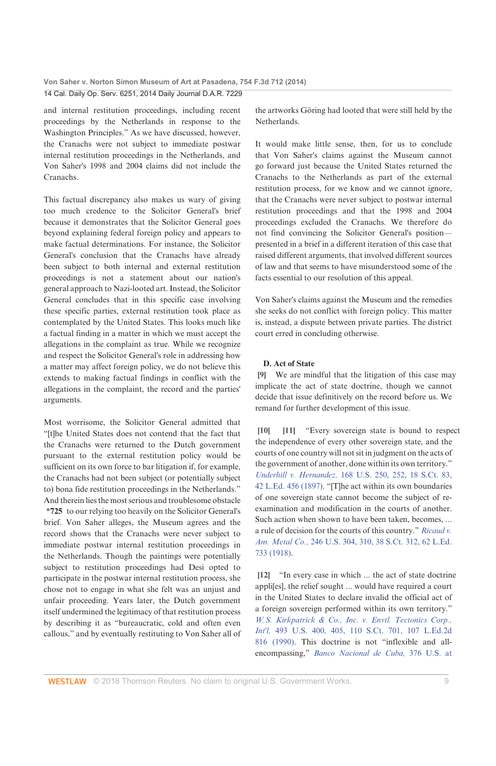and internal restitution proceedings, including recent proceedings by the Netherlands in response to the Washington Principles." As we have discussed, however, the Cranachs were not subject to immediate postwar internal restitution proceedings in the Netherlands, and Von Saher's 1998 and 2004 claims did not include the Cranachs

This factual discrepancy also makes us wary of giving too much credence to the Solicitor General's brief because it demonstrates that the Solicitor General goes beyond explaining federal foreign policy and appears to make factual determinations. For instance, the Solicitor General's conclusion that the Cranachs have already been subject to both internal and external restitution proceedings is not a statement about our nation's general approach to Nazi-looted art. Instead, the Solicitor General concludes that in this specific case involving these specific parties, external restitution took place as contemplated by the United States. This looks much like a factual finding in a matter in which we must accept the allegations in the complaint as true. While we recognize and respect the Solicitor General's role in addressing how a matter may affect foreign policy, we do not believe this extends to making factual findings in conflict with the allegations in the complaint, the record and the parties' arguments.

Most worrisome, the Solicitor General admitted that "[t]he United States does not contend that the fact that the Cranachs were returned to the Dutch government pursuant to the external restitution policy would be sufficient on its own force to bar litigation if, for example, the Cranachs had not been subject (or potentially subject to) bona fide restitution proceedings in the Netherlands." And therein lies the most serious and troublesome obstacle \*725 to our relying too heavily on the Solicitor General's brief. Von Saher alleges, the Museum agrees and the record shows that the Cranachs were never subject to immediate postwar internal restitution proceedings in the Netherlands. Though the paintings were potentially subject to restitution proceedings had Desi opted to participate in the postwar internal restitution process, she chose not to engage in what she felt was an unjust and unfair proceeding. Years later, the Dutch government itself undermined the legitimacy of that restitution process by describing it as "bureaucratic, cold and often even callous," and by eventually restituting to Von Saher all of

the artworks Göring had looted that were still held by the Netherlands.

It would make little sense, then, for us to conclude that Von Saher's claims against the Museum cannot go forward just because the United States returned the Cranachs to the Netherlands as part of the external restitution process, for we know and we cannot ignore, that the Cranachs were never subject to postwar internal restitution proceedings and that the 1998 and 2004 proceedings excluded the Cranachs. We therefore do not find convincing the Solicitor General's positionpresented in a brief in a different iteration of this case that raised different arguments, that involved different sources of law and that seems to have misunderstood some of the facts essential to our resolution of this appeal.

Von Saher's claims against the Museum and the remedies she seeks do not conflict with foreign policy. This matter is, instead, a dispute between private parties. The district court erred in concluding otherwise.

### D. Act of State

[9] We are mindful that the litigation of this case may implicate the act of state doctrine, though we cannot decide that issue definitively on the record before us. We remand for further development of this issue.

[11] "Every sovereign state is bound to respect  $[10]$ the independence of every other sovereign state, and the courts of one country will not sit in judgment on the acts of the government of another, done within its own territory." Underhill v. Hernandez, 168 U.S. 250, 252, 18 S.Ct. 83, 42 L.Ed. 456 (1897). "[T]he act within its own boundaries of one sovereign state cannot become the subject of reexamination and modification in the courts of another. Such action when shown to have been taken, becomes.... a rule of decision for the courts of this country." Ricaud v. Am. Metal Co., 246 U.S. 304, 310, 38 S.Ct. 312, 62 L.Ed. 733 (1918).

[12] "In every case in which ... the act of state doctrine appli[es], the relief sought ... would have required a court in the United States to declare invalid the official act of a foreign sovereign performed within its own territory." W.S. Kirkpatrick & Co., Inc. v. Envtl. Tectonics Corp., Int'l. 493 U.S. 400, 405, 110 S.Ct. 701, 107 L.Ed.2d 816 (1990). This doctrine is not "inflexible and allencompassing," Banco Nacional de Cuba, 376 U.S. at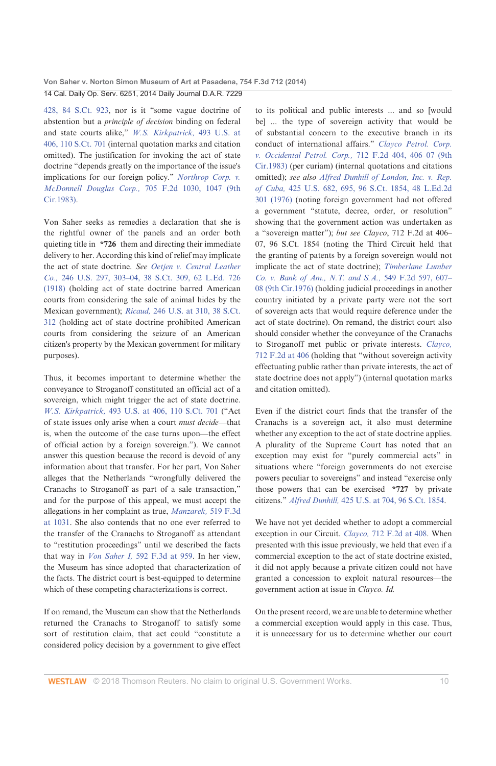428, 84 S.Ct. 923, nor is it "some vague doctrine of abstention but a *principle of decision* binding on federal and state courts alike," W.S. Kirkpatrick, 493 U.S. at 406, 110 S.Ct. 701 (internal quotation marks and citation omitted). The justification for invoking the act of state doctrine "depends greatly on the importance of the issue's implications for our foreign policy." Northrop Corp. v. McDonnell Douglas Corp., 705 F.2d 1030, 1047 (9th Cir.1983).

Von Saher seeks as remedies a declaration that she is the rightful owner of the panels and an order both quieting title in \*726 them and directing their immediate delivery to her. According this kind of relief may implicate the act of state doctrine. See Oetjen v. Central Leather Co., 246 U.S. 297, 303-04, 38 S.Ct. 309, 62 L.Ed. 726 (1918) (holding act of state doctrine barred American courts from considering the sale of animal hides by the Mexican government); Ricaud, 246 U.S. at 310, 38 S.Ct. 312 (holding act of state doctrine prohibited American courts from considering the seizure of an American citizen's property by the Mexican government for military purposes).

Thus, it becomes important to determine whether the conveyance to Stroganoff constituted an official act of a sovereign, which might trigger the act of state doctrine. W.S. Kirkpatrick, 493 U.S. at 406, 110 S.Ct. 701 ("Act of state issues only arise when a court must decide-that is, when the outcome of the case turns upon-the effect of official action by a foreign sovereign."). We cannot answer this question because the record is devoid of any information about that transfer. For her part, Von Saher alleges that the Netherlands "wrongfully delivered the Cranachs to Stroganoff as part of a sale transaction," and for the purpose of this appeal, we must accept the allegations in her complaint as true, Manzarek, 519 F.3d at 1031. She also contends that no one ever referred to the transfer of the Cranachs to Stroganoff as attendant to "restitution proceedings" until we described the facts that way in *Von Saher I*, 592 F.3d at 959. In her view, the Museum has since adopted that characterization of the facts. The district court is best-equipped to determine which of these competing characterizations is correct.

If on remand, the Museum can show that the Netherlands returned the Cranachs to Stroganoff to satisfy some sort of restitution claim, that act could "constitute a considered policy decision by a government to give effect

to its political and public interests ... and so [would be] ... the type of sovereign activity that would be of substantial concern to the executive branch in its conduct of international affairs." Clayco Petrol. Corp. v. Occidental Petrol. Corp., 712 F.2d 404, 406-07 (9th Cir.1983) (per curiam) (internal quotations and citations omitted); see also Alfred Dunhill of London, Inc. v. Rep. of Cuba, 425 U.S. 682, 695, 96 S.Ct. 1854, 48 L.Ed.2d 301 (1976) (noting foreign government had not offered a government "statute, decree, order, or resolution" showing that the government action was undertaken as a "sovereign matter"); but see Clayco, 712 F.2d at 406-07, 96 S.Ct. 1854 (noting the Third Circuit held that the granting of patents by a foreign sovereign would not implicate the act of state doctrine); Timberlane Lumber Co. v. Bank of Am., N.T. and S.A., 549 F.2d 597, 607-08 (9th Cir.1976) (holding judicial proceedings in another country initiated by a private party were not the sort of sovereign acts that would require deference under the act of state doctrine). On remand, the district court also should consider whether the conveyance of the Cranachs to Stroganoff met public or private interests. Clayco, 712 F.2d at 406 (holding that "without sovereign activity effectuating public rather than private interests, the act of state doctrine does not apply") (internal quotation marks and citation omitted).

Even if the district court finds that the transfer of the Cranachs is a sovereign act, it also must determine whether any exception to the act of state doctrine applies. A plurality of the Supreme Court has noted that an exception may exist for "purely commercial acts" in situations where "foreign governments do not exercise powers peculiar to sovereigns" and instead "exercise only those powers that can be exercised \*727 by private citizens." Alfred Dunhill, 425 U.S. at 704, 96 S.Ct. 1854.

We have not yet decided whether to adopt a commercial exception in our Circuit. Clayco, 712 F.2d at 408. When presented with this issue previously, we held that even if a commercial exception to the act of state doctrine existed, it did not apply because a private citizen could not have granted a concession to exploit natural resources-the government action at issue in Clayco. Id.

On the present record, we are unable to determine whether a commercial exception would apply in this case. Thus, it is unnecessary for us to determine whether our court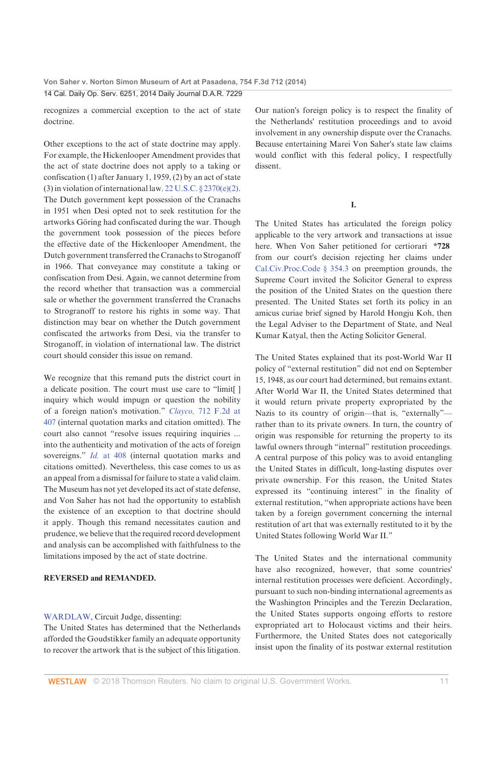recognizes a commercial exception to the act of state doctrine.

Other exceptions to the act of state doctrine may apply. For example, the Hickenlooper Amendment provides that the act of state doctrine does not apply to a taking or confiscation (1) after January 1, 1959, (2) by an act of state (3) in violation of international law. 22 U.S.C.  $\S$  2370(e)(2). The Dutch government kept possession of the Cranachs in 1951 when Desi opted not to seek restitution for the artworks Göring had confiscated during the war. Though the government took possession of the pieces before the effective date of the Hickenlooper Amendment, the Dutch government transferred the Cranachs to Stroganoff in 1966. That conveyance may constitute a taking or confiscation from Desi. Again, we cannot determine from the record whether that transaction was a commercial sale or whether the government transferred the Cranachs to Strogranoff to restore his rights in some way. That distinction may bear on whether the Dutch government confiscated the artworks from Desi, via the transfer to Stroganoff, in violation of international law. The district court should consider this issue on remand.

We recognize that this remand puts the district court in a delicate position. The court must use care to "limit[] inquiry which would impugn or question the nobility of a foreign nation's motivation." Clayco, 712 F.2d at 407 (internal quotation marks and citation omitted). The court also cannot "resolve issues requiring inquiries ... into the authenticity and motivation of the acts of foreign sovereigns." Id. at 408 (internal quotation marks and citations omitted). Nevertheless, this case comes to us as an appeal from a dismissal for failure to state a valid claim. The Museum has not yet developed its act of state defense, and Von Saher has not had the opportunity to establish the existence of an exception to that doctrine should it apply. Though this remand necessitates caution and prudence, we believe that the required record development and analysis can be accomplished with faithfulness to the limitations imposed by the act of state doctrine.

### **REVERSED and REMANDED.**

### WARDLAW, Circuit Judge, dissenting:

The United States has determined that the Netherlands afforded the Goudstikker family an adequate opportunity to recover the artwork that is the subject of this litigation.

Our nation's foreign policy is to respect the finality of the Netherlands' restitution proceedings and to avoid involvement in any ownership dispute over the Cranachs. Because entertaining Marei Von Saher's state law claims would conflict with this federal policy, I respectfully dissent

L

The United States has articulated the foreign policy applicable to the very artwork and transactions at issue here. When Von Saher petitioned for certiorari \*728 from our court's decision rejecting her claims under Cal.Civ.Proc.Code § 354.3 on preemption grounds, the Supreme Court invited the Solicitor General to express the position of the United States on the question there presented. The United States set forth its policy in an amicus curiae brief signed by Harold Hongju Koh, then the Legal Adviser to the Department of State, and Neal Kumar Katyal, then the Acting Solicitor General.

The United States explained that its post-World War II policy of "external restitution" did not end on September 15, 1948, as our court had determined, but remains extant. After World War II, the United States determined that it would return private property expropriated by the Nazis to its country of origin-that is, "externally"rather than to its private owners. In turn, the country of origin was responsible for returning the property to its lawful owners through "internal" restitution proceedings. A central purpose of this policy was to avoid entangling the United States in difficult, long-lasting disputes over private ownership. For this reason, the United States expressed its "continuing interest" in the finality of external restitution, "when appropriate actions have been taken by a foreign government concerning the internal restitution of art that was externally restituted to it by the United States following World War II."

The United States and the international community have also recognized, however, that some countries' internal restitution processes were deficient. Accordingly, pursuant to such non-binding international agreements as the Washington Principles and the Terezin Declaration, the United States supports ongoing efforts to restore expropriated art to Holocaust victims and their heirs. Furthermore, the United States does not categorically insist upon the finality of its postwar external restitution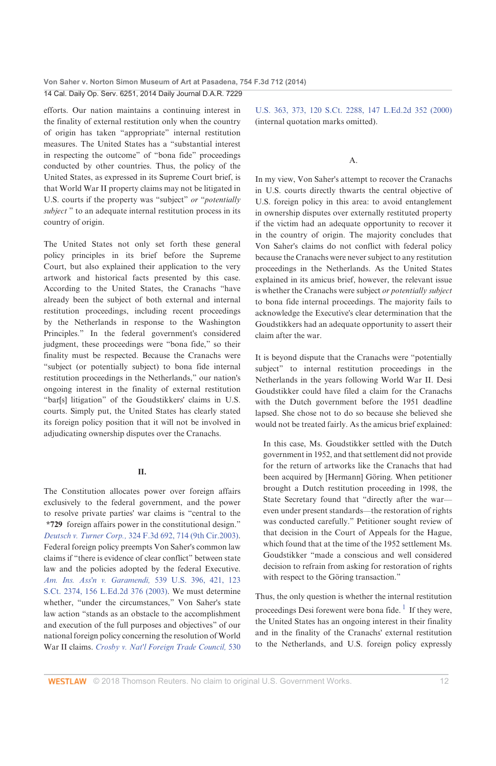efforts. Our nation maintains a continuing interest in the finality of external restitution only when the country of origin has taken "appropriate" internal restitution measures. The United States has a "substantial interest in respecting the outcome" of "bona fide" proceedings conducted by other countries. Thus, the policy of the United States, as expressed in its Supreme Court brief, is that World War II property claims may not be litigated in U.S. courts if the property was "subject" or "potentially subject" to an adequate internal restitution process in its country of origin.

The United States not only set forth these general policy principles in its brief before the Supreme Court, but also explained their application to the very artwork and historical facts presented by this case. According to the United States, the Cranachs "have already been the subject of both external and internal restitution proceedings, including recent proceedings by the Netherlands in response to the Washington Principles." In the federal government's considered judgment, these proceedings were "bona fide," so their finality must be respected. Because the Cranachs were "subject (or potentially subject) to bona fide internal restitution proceedings in the Netherlands," our nation's ongoing interest in the finality of external restitution "bar[s] litigation" of the Goudstikkers' claims in U.S. courts. Simply put, the United States has clearly stated its foreign policy position that it will not be involved in adjudicating ownership disputes over the Cranachs.

### П.

The Constitution allocates power over foreign affairs exclusively to the federal government, and the power to resolve private parties' war claims is "central to the \*729 foreign affairs power in the constitutional design." Deutsch v. Turner Corp., 324 F.3d 692, 714 (9th Cir.2003). Federal foreign policy preempts Von Saher's common law claims if "there is evidence of clear conflict" between state law and the policies adopted by the federal Executive. Am. Ins. Ass'n v. Garamendi, 539 U.S. 396, 421, 123 S.Ct. 2374, 156 L.Ed.2d 376 (2003). We must determine whether, "under the circumstances," Von Saher's state law action "stands as an obstacle to the accomplishment and execution of the full purposes and objectives" of our national foreign policy concerning the resolution of World War II claims. Crosby v. Nat'l Foreign Trade Council, 530

U.S. 363, 373, 120 S.Ct. 2288, 147 L.Ed.2d 352 (2000) (internal quotation marks omitted).

### A.

In my view, Von Saher's attempt to recover the Cranachs in U.S. courts directly thwarts the central objective of U.S. foreign policy in this area: to avoid entanglement in ownership disputes over externally restituted property if the victim had an adequate opportunity to recover it in the country of origin. The majority concludes that Von Saher's claims do not conflict with federal policy because the Cranachs were never subject to any restitution proceedings in the Netherlands. As the United States explained in its amicus brief, however, the relevant issue is whether the Cranachs were subject or potentially subject to bona fide internal proceedings. The majority fails to acknowledge the Executive's clear determination that the Goudstikkers had an adequate opportunity to assert their claim after the war.

It is beyond dispute that the Cranachs were "potentially subject" to internal restitution proceedings in the Netherlands in the years following World War II. Desi Goudstikker could have filed a claim for the Cranachs with the Dutch government before the 1951 deadline lapsed. She chose not to do so because she believed she would not be treated fairly. As the amicus brief explained:

In this case, Ms. Goudstikker settled with the Dutch government in 1952, and that settlement did not provide for the return of artworks like the Cranachs that had been acquired by [Hermann] Göring. When petitioner brought a Dutch restitution proceeding in 1998, the State Secretary found that "directly after the wareven under present standards-the restoration of rights was conducted carefully." Petitioner sought review of that decision in the Court of Appeals for the Hague, which found that at the time of the 1952 settlement Ms. Goudstikker "made a conscious and well considered decision to refrain from asking for restoration of rights with respect to the Göring transaction."

Thus, the only question is whether the internal restitution proceedings Desi forewent were bona fide.<sup>1</sup> If they were, the United States has an ongoing interest in their finality and in the finality of the Cranachs' external restitution to the Netherlands, and U.S. foreign policy expressly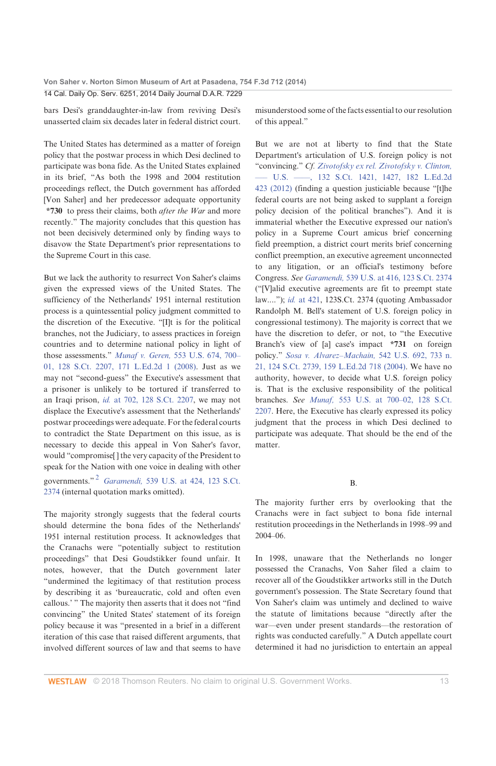bars Desi's granddaughter-in-law from reviving Desi's unasserted claim six decades later in federal district court.

The United States has determined as a matter of foreign policy that the postwar process in which Desi declined to participate was bona fide. As the United States explained in its brief, "As both the 1998 and 2004 restitution proceedings reflect, the Dutch government has afforded [Von Saher] and her predecessor adequate opportunity \*730 to press their claims, both after the War and more recently." The majority concludes that this question has not been decisively determined only by finding ways to disavow the State Department's prior representations to the Supreme Court in this case.

But we lack the authority to resurrect Von Saher's claims given the expressed views of the United States. The sufficiency of the Netherlands' 1951 internal restitution process is a quintessential policy judgment committed to the discretion of the Executive. "[I]t is for the political branches, not the Judiciary, to assess practices in foreign countries and to determine national policy in light of those assessments." Munaf v. Geren, 553 U.S. 674, 700-01, 128 S.Ct. 2207, 171 L.Ed.2d 1 (2008). Just as we may not "second-guess" the Executive's assessment that a prisoner is unlikely to be tortured if transferred to an Iraqi prison, id. at 702, 128 S.Ct. 2207, we may not displace the Executive's assessment that the Netherlands' postwar proceedings were adequate. For the federal courts to contradict the State Department on this issue, as is necessary to decide this appeal in Von Saher's favor, would "compromise[] the very capacity of the President to speak for the Nation with one voice in dealing with other governments."<sup>2</sup> Garamendi, 539 U.S. at 424, 123 S.Ct. 2374 (internal quotation marks omitted).

The majority strongly suggests that the federal courts should determine the bona fides of the Netherlands' 1951 internal restitution process. It acknowledges that the Cranachs were "potentially subject to restitution proceedings" that Desi Goudstikker found unfair. It notes, however, that the Dutch government later "undermined the legitimacy of that restitution process by describing it as 'bureaucratic, cold and often even callous.' " The majority then asserts that it does not "find convincing" the United States' statement of its foreign policy because it was "presented in a brief in a different iteration of this case that raised different arguments, that involved different sources of law and that seems to have misunderstood some of the facts essential to our resolution of this appeal."

But we are not at liberty to find that the State Department's articulation of U.S. foreign policy is not "convincing." Cf. Zivotofsky ex rel. Zivotofsky v. Clinton, - U.S. -, 132 S.Ct. 1421, 1427, 182 L.Ed.2d 423 (2012) (finding a question justiciable because "[t]he federal courts are not being asked to supplant a foreign policy decision of the political branches"). And it is immaterial whether the Executive expressed our nation's policy in a Supreme Court amicus brief concerning field preemption, a district court merits brief concerning conflict preemption, an executive agreement unconnected to any litigation, or an official's testimony before Congress. See Garamendi, 539 U.S. at 416, 123 S.Ct. 2374 ("[V]alid executive agreements are fit to preempt state law...."); id. at 421, 123S.Ct. 2374 (quoting Ambassador Randolph M. Bell's statement of U.S. foreign policy in congressional testimony). The majority is correct that we have the discretion to defer, or not, to "the Executive Branch's view of [a] case's impact \*731 on foreign policy." Sosa v. Alvarez-Machain, 542 U.S. 692, 733 n. 21, 124 S.Ct. 2739, 159 L.Ed.2d 718 (2004). We have no authority, however, to decide what U.S. foreign policy is. That is the exclusive responsibility of the political branches. See Munaf, 553 U.S. at 700-02, 128 S.Ct. 2207. Here, the Executive has clearly expressed its policy judgment that the process in which Desi declined to participate was adequate. That should be the end of the matter.

**B.** 

The majority further errs by overlooking that the Cranachs were in fact subject to bona fide internal restitution proceedings in the Netherlands in 1998-99 and 2004-06.

In 1998, unaware that the Netherlands no longer possessed the Cranachs, Von Saher filed a claim to recover all of the Goudstikker artworks still in the Dutch government's possession. The State Secretary found that Von Saher's claim was untimely and declined to waive the statute of limitations because "directly after the war-even under present standards-the restoration of rights was conducted carefully." A Dutch appellate court determined it had no jurisdiction to entertain an appeal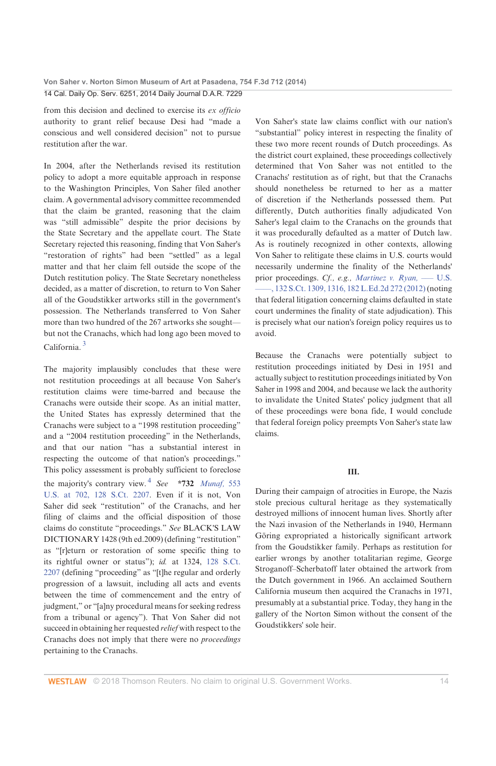from this decision and declined to exercise its ex officio authority to grant relief because Desi had "made a conscious and well considered decision" not to pursue restitution after the war.

In 2004, after the Netherlands revised its restitution policy to adopt a more equitable approach in response to the Washington Principles, Von Saher filed another claim. A governmental advisory committee recommended that the claim be granted, reasoning that the claim was "still admissible" despite the prior decisions by the State Secretary and the appellate court. The State Secretary rejected this reasoning, finding that Von Saher's "restoration of rights" had been "settled" as a legal matter and that her claim fell outside the scope of the Dutch restitution policy. The State Secretary nonetheless decided, as a matter of discretion, to return to Von Saher all of the Goudstikker artworks still in the government's possession. The Netherlands transferred to Von Saher more than two hundred of the 267 artworks she soughtbut not the Cranachs, which had long ago been moved to California.<sup>3</sup>

The majority implausibly concludes that these were not restitution proceedings at all because Von Saher's restitution claims were time-barred and because the Cranachs were outside their scope. As an initial matter, the United States has expressly determined that the Cranachs were subject to a "1998 restitution proceeding" and a "2004 restitution proceeding" in the Netherlands, and that our nation "has a substantial interest in respecting the outcome of that nation's proceedings." This policy assessment is probably sufficient to foreclose the majority's contrary view.<sup>4</sup> See \*732 Munaf, 553 U.S. at 702, 128 S.Ct. 2207. Even if it is not, Von Saher did seek "restitution" of the Cranachs, and her filing of claims and the official disposition of those claims do constitute "proceedings." See BLACK'S LAW DICTIONARY 1428 (9th ed.2009) (defining "restitution" as "[r]eturn or restoration of some specific thing to its rightful owner or status"); id. at 1324, 128 S.Ct. 2207 (defining "proceeding" as "[t]he regular and orderly progression of a lawsuit, including all acts and events between the time of commencement and the entry of judgment," or "[a]ny procedural means for seeking redress from a tribunal or agency"). That Von Saher did not succeed in obtaining her requested *relief* with respect to the Cranachs does not imply that there were no proceedings pertaining to the Cranachs.

Von Saher's state law claims conflict with our nation's "substantial" policy interest in respecting the finality of these two more recent rounds of Dutch proceedings. As the district court explained, these proceedings collectively determined that Von Saher was not entitled to the Cranachs' restitution as of right, but that the Cranachs should nonetheless be returned to her as a matter of discretion if the Netherlands possessed them. Put differently, Dutch authorities finally adjudicated Von Saher's legal claim to the Cranachs on the grounds that it was procedurally defaulted as a matter of Dutch law. As is routinely recognized in other contexts, allowing Von Saher to relitigate these claims in U.S. courts would necessarily undermine the finality of the Netherlands' prior proceedings. Cf., e.g., Martinez v. Ryan, - U.S. -, 132 S.Ct. 1309, 1316, 182 L.Ed.2d 272 (2012) (noting that federal litigation concerning claims defaulted in state court undermines the finality of state adjudication). This is precisely what our nation's foreign policy requires us to avoid.

Because the Cranachs were potentially subject to restitution proceedings initiated by Desi in 1951 and actually subject to restitution proceedings initiated by Von Saher in 1998 and 2004, and because we lack the authority to invalidate the United States' policy judgment that all of these proceedings were bona fide, I would conclude that federal foreign policy preempts Von Saher's state law claims.

### Ш.

During their campaign of atrocities in Europe, the Nazis stole precious cultural heritage as they systematically destroyed millions of innocent human lives. Shortly after the Nazi invasion of the Netherlands in 1940, Hermann Göring expropriated a historically significant artwork from the Goudstikker family. Perhaps as restitution for earlier wrongs by another totalitarian regime, George Stroganoff-Scherbatoff later obtained the artwork from the Dutch government in 1966. An acclaimed Southern California museum then acquired the Cranachs in 1971, presumably at a substantial price. Today, they hang in the gallery of the Norton Simon without the consent of the Goudstikkers' sole heir.

**WESTLAW** © 2018 Thomson Reuters. No claim to original U.S. Government Works.